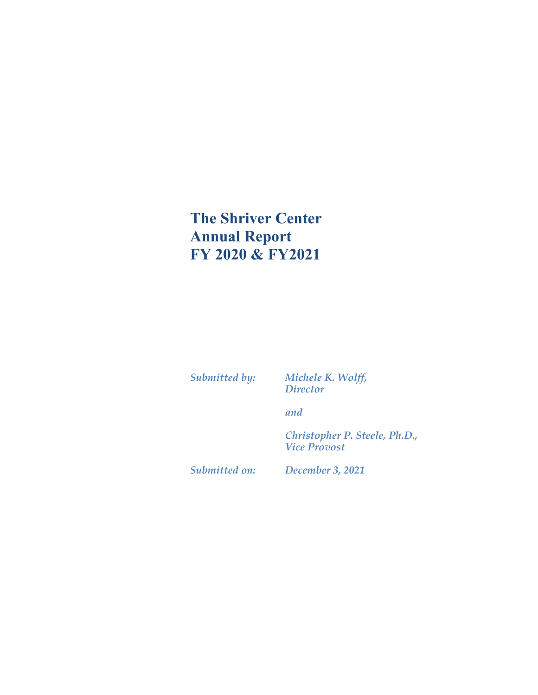# **The Shriver Center Annual Report FY 2020 & FY2021**

*Submitted by: Michele K. Wolff, Director*

*and*

*Christopher P. Steele, Ph.D., Vice Provost*

*Submitted on: December 3, 2021*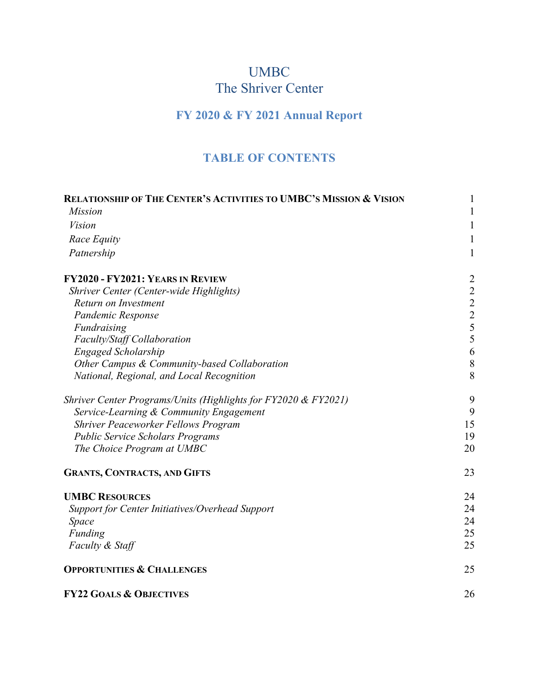# UMBC The Shriver Center

# **FY 2020 & FY 2021 Annual Report**

### **TABLE OF CONTENTS**

| <b>RELATIONSHIP OF THE CENTER'S ACTIVITIES TO UMBC'S MISSION &amp; VISION</b> | 1                                               |
|-------------------------------------------------------------------------------|-------------------------------------------------|
| <b>Mission</b>                                                                | 1                                               |
| <b>Vision</b>                                                                 | 1                                               |
| Race Equity                                                                   | $\mathbf{1}$                                    |
| Patnership                                                                    | $\mathbf{1}$                                    |
| FY2020 - FY2021: YEARS IN REVIEW                                              | $\overline{c}$                                  |
| Shriver Center (Center-wide Highlights)                                       | $\begin{array}{c} 2 \\ 2 \\ 2 \\ 5 \end{array}$ |
| Return on Investment                                                          |                                                 |
| Pandemic Response                                                             |                                                 |
| Fundraising                                                                   |                                                 |
| Faculty/Staff Collaboration                                                   | 5                                               |
| <b>Engaged Scholarship</b>                                                    | 6                                               |
| Other Campus & Community-based Collaboration                                  | $8\phantom{.}$                                  |
| National, Regional, and Local Recognition                                     | 8                                               |
| Shriver Center Programs/Units (Highlights for FY2020 & FY2021)                | 9                                               |
| Service-Learning & Community Engagement                                       | 9                                               |
| <b>Shriver Peaceworker Fellows Program</b>                                    | 15                                              |
| <b>Public Service Scholars Programs</b>                                       | 19                                              |
| The Choice Program at UMBC                                                    | 20                                              |
| <b>GRANTS, CONTRACTS, AND GIFTS</b>                                           | 23                                              |
| <b>UMBC RESOURCES</b>                                                         | 24                                              |
| Support for Center Initiatives/Overhead Support                               | 24                                              |
| Space                                                                         | 24                                              |
| Funding                                                                       | 25                                              |
| Faculty & Staff                                                               | 25                                              |
| <b>OPPORTUNITIES &amp; CHALLENGES</b>                                         | 25                                              |
| <b>FY22 GOALS &amp; OBJECTIVES</b>                                            | 26                                              |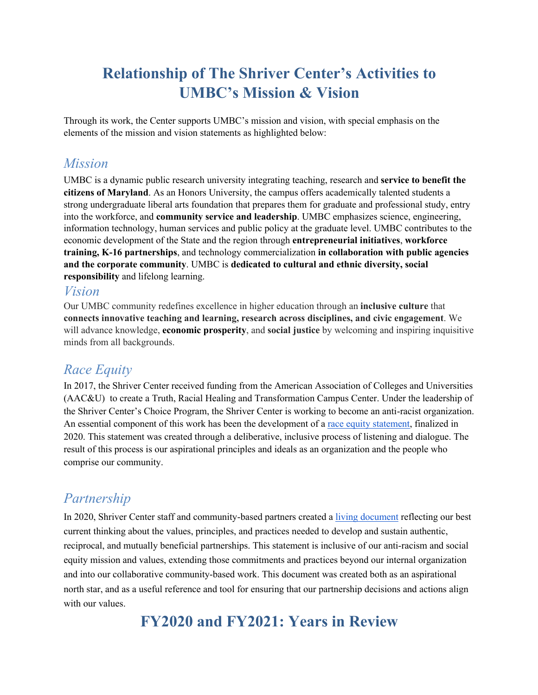# **Relationship of The Shriver Center's Activities to UMBC's Mission & Vision**

Through its work, the Center supports UMBC's mission and vision, with special emphasis on the elements of the mission and vision statements as highlighted below:

### *Mission*

UMBC is a dynamic public research university integrating teaching, research and **service to benefit the citizens of Maryland**. As an Honors University, the campus offers academically talented students a strong undergraduate liberal arts foundation that prepares them for graduate and professional study, entry into the workforce, and **community service and leadership**. UMBC emphasizes science, engineering, information technology, human services and public policy at the graduate level. UMBC contributes to the economic development of the State and the region through **entrepreneurial initiatives**, **workforce training, K-16 partnerships**, and technology commercialization **in collaboration with public agencies and the corporate community**. UMBC is **dedicated to cultural and ethnic diversity, social responsibility** and lifelong learning.

### *Vision*

Our UMBC community redefines excellence in higher education through an **inclusive culture** that **connects innovative teaching and learning, research across disciplines, and civic engagement**. We will advance knowledge, **economic prosperity**, and **social justice** by welcoming and inspiring inquisitive minds from all backgrounds.

### *Race Equity*

In 2017, the Shriver Center received funding from the American Association of Colleges and Universities (AAC&U) to create a Truth, Racial Healing and Transformation Campus Center. Under the leadership of the Shriver Center's Choice Program, the Shriver Center is working to become an anti-racist organization. An essential component of this work has been the development of a <u>race equity statement</u>, finalized in 2020. This statement was created through a deliberative, inclusive process of listening and dialogue. The result of this process is our aspirational principles and ideals as an organization and the people who comprise our community.

# *Partnership*

In 2020, Shriver Center staff and community-based partners created a *living document* reflecting our best current thinking about the values, principles, and practices needed to develop and sustain authentic, reciprocal, and mutually beneficial partnerships. This statement is inclusive of our anti-racism and social equity mission and values, extending those commitments and practices beyond our internal organization and into our collaborative community-based work. This document was created both as an aspirational north star, and as a useful reference and tool for ensuring that our partnership decisions and actions align with our values.

**FY2020 and FY2021: Years in Review**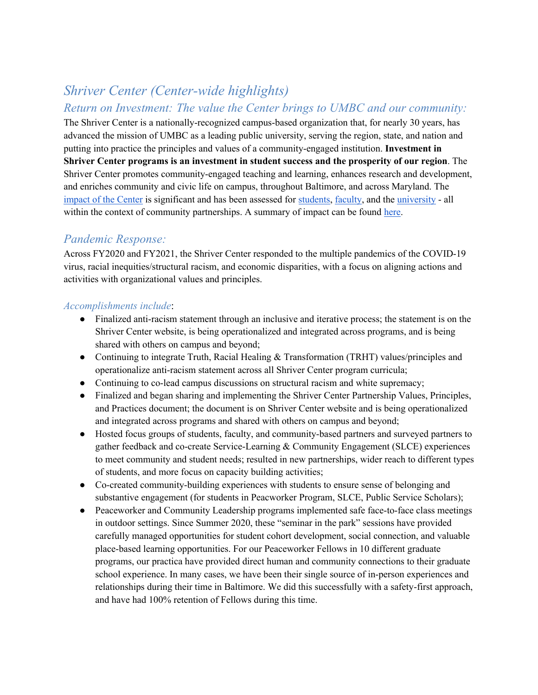### *Shriver Center (Center-wide highlights) Return on Investment: The value the Center brings to UMBC and our community:*

The Shriver Center is a nationally-recognized campus-based organization that, for nearly 30 years, has advanced the mission of UMBC as a leading public university, serving the region, state, and nation and putting into practice the principles and values of a community-engaged institution. **Investment in Shriver Center programs is an investment in student success and the prosperity of our region**. The Shriver Center promotes community-engaged teaching and learning, enhances research and development, and enriches community and civic life on campus, throughout Baltimore, and across Maryland. The impact of the Center is significant and has been assessed for students, faculty, and the university - all within the context of community partnerships. A summary of impact can be found here.

### *Pandemic Response:*

Across FY2020 and FY2021, the Shriver Center responded to the multiple pandemics of the COVID-19 virus, racial inequities/structural racism, and economic disparities, with a focus on aligning actions and activities with organizational values and principles.

#### *Accomplishments include*:

- Finalized anti-racism statement through an inclusive and iterative process; the statement is on the Shriver Center website, is being operationalized and integrated across programs, and is being shared with others on campus and beyond;
- Continuing to integrate Truth, Racial Healing & Transformation (TRHT) values/principles and operationalize anti-racism statement across all Shriver Center program curricula;
- Continuing to co-lead campus discussions on structural racism and white supremacy;
- Finalized and began sharing and implementing the Shriver Center Partnership Values, Principles, and Practices document; the document is on Shriver Center website and is being operationalized and integrated across programs and shared with others on campus and beyond;
- Hosted focus groups of students, faculty, and community-based partners and surveyed partners to gather feedback and co-create Service-Learning & Community Engagement (SLCE) experiences to meet community and student needs; resulted in new partnerships, wider reach to different types of students, and more focus on capacity building activities;
- Co-created community-building experiences with students to ensure sense of belonging and substantive engagement (for students in Peacworker Program, SLCE, Public Service Scholars);
- Peaceworker and Community Leadership programs implemented safe face-to-face class meetings in outdoor settings. Since Summer 2020, these "seminar in the park" sessions have provided carefully managed opportunities for student cohort development, social connection, and valuable place-based learning opportunities. For our Peaceworker Fellows in 10 different graduate programs, our practica have provided direct human and community connections to their graduate school experience. In many cases, we have been their single source of in-person experiences and relationships during their time in Baltimore. We did this successfully with a safety-first approach, and have had 100% retention of Fellows during this time.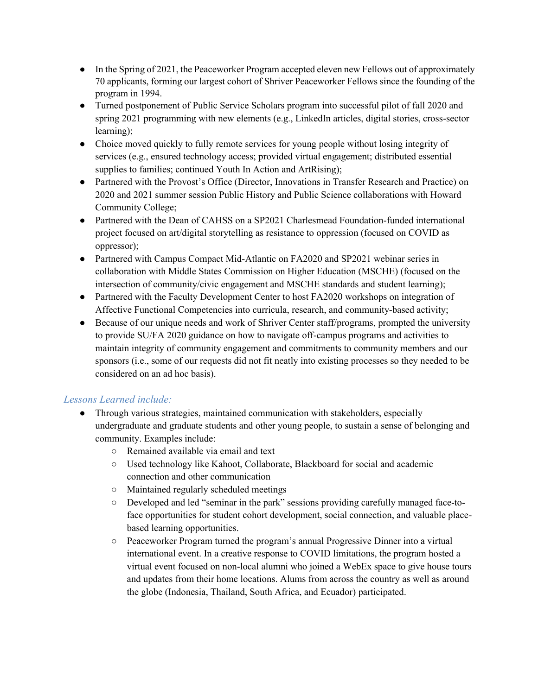- In the Spring of 2021, the Peaceworker Program accepted eleven new Fellows out of approximately 70 applicants, forming our largest cohort of Shriver Peaceworker Fellows since the founding of the program in 1994.
- Turned postponement of Public Service Scholars program into successful pilot of fall 2020 and spring 2021 programming with new elements (e.g., LinkedIn articles, digital stories, cross-sector learning);
- Choice moved quickly to fully remote services for young people without losing integrity of services (e.g., ensured technology access; provided virtual engagement; distributed essential supplies to families; continued Youth In Action and ArtRising);
- Partnered with the Provost's Office (Director, Innovations in Transfer Research and Practice) on 2020 and 2021 summer session Public History and Public Science collaborations with Howard Community College;
- Partnered with the Dean of CAHSS on a SP2021 Charlesmead Foundation-funded international project focused on art/digital storytelling as resistance to oppression (focused on COVID as oppressor);
- Partnered with Campus Compact Mid-Atlantic on FA2020 and SP2021 webinar series in collaboration with Middle States Commission on Higher Education (MSCHE) (focused on the intersection of community/civic engagement and MSCHE standards and student learning);
- Partnered with the Faculty Development Center to host FA2020 workshops on integration of Affective Functional Competencies into curricula, research, and community-based activity;
- Because of our unique needs and work of Shriver Center staff/programs, prompted the university to provide SU/FA 2020 guidance on how to navigate off-campus programs and activities to maintain integrity of community engagement and commitments to community members and our sponsors (i.e., some of our requests did not fit neatly into existing processes so they needed to be considered on an ad hoc basis).

#### *Lessons Learned include:*

- Through various strategies, maintained communication with stakeholders, especially undergraduate and graduate students and other young people, to sustain a sense of belonging and community. Examples include:
	- Remained available via email and text
	- Used technology like Kahoot, Collaborate, Blackboard for social and academic connection and other communication
	- Maintained regularly scheduled meetings
	- Developed and led "seminar in the park" sessions providing carefully managed face-toface opportunities for student cohort development, social connection, and valuable placebased learning opportunities.
	- Peaceworker Program turned the program's annual Progressive Dinner into a virtual international event. In a creative response to COVID limitations, the program hosted a virtual event focused on non-local alumni who joined a WebEx space to give house tours and updates from their home locations. Alums from across the country as well as around the globe (Indonesia, Thailand, South Africa, and Ecuador) participated.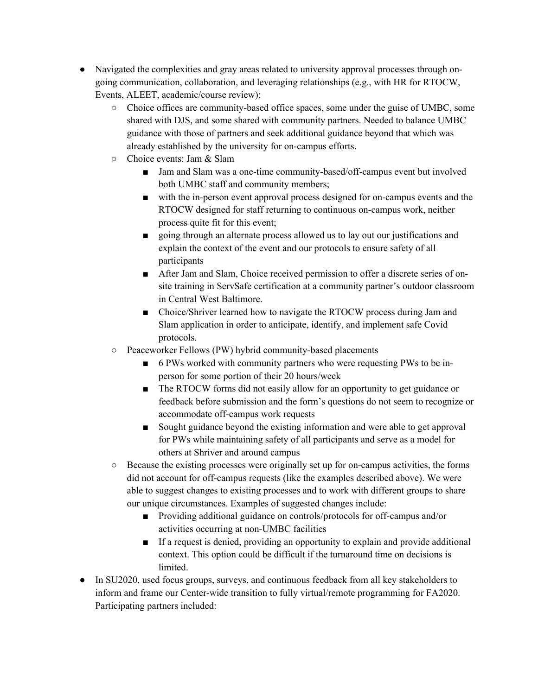- Navigated the complexities and gray areas related to university approval processes through ongoing communication, collaboration, and leveraging relationships (e.g., with HR for RTOCW, Events, ALEET, academic/course review):
	- Choice offices are community-based office spaces, some under the guise of UMBC, some shared with DJS, and some shared with community partners. Needed to balance UMBC guidance with those of partners and seek additional guidance beyond that which was already established by the university for on-campus efforts.
	- Choice events: Jam & Slam
		- Jam and Slam was a one-time community-based/off-campus event but involved both UMBC staff and community members;
		- with the in-person event approval process designed for on-campus events and the RTOCW designed for staff returning to continuous on-campus work, neither process quite fit for this event;
		- going through an alternate process allowed us to lay out our justifications and explain the context of the event and our protocols to ensure safety of all participants
		- After Jam and Slam, Choice received permission to offer a discrete series of onsite training in ServSafe certification at a community partner's outdoor classroom in Central West Baltimore.
		- Choice/Shriver learned how to navigate the RTOCW process during Jam and Slam application in order to anticipate, identify, and implement safe Covid protocols.
	- Peaceworker Fellows (PW) hybrid community-based placements
		- 6 PWs worked with community partners who were requesting PWs to be inperson for some portion of their 20 hours/week
		- The RTOCW forms did not easily allow for an opportunity to get guidance or feedback before submission and the form's questions do not seem to recognize or accommodate off-campus work requests
		- Sought guidance beyond the existing information and were able to get approval for PWs while maintaining safety of all participants and serve as a model for others at Shriver and around campus
	- Because the existing processes were originally set up for on-campus activities, the forms did not account for off-campus requests (like the examples described above). We were able to suggest changes to existing processes and to work with different groups to share our unique circumstances. Examples of suggested changes include:
		- Providing additional guidance on controls/protocols for off-campus and/or activities occurring at non-UMBC facilities
		- If a request is denied, providing an opportunity to explain and provide additional context. This option could be difficult if the turnaround time on decisions is limited.
- In SU2020, used focus groups, surveys, and continuous feedback from all key stakeholders to inform and frame our Center-wide transition to fully virtual/remote programming for FA2020. Participating partners included: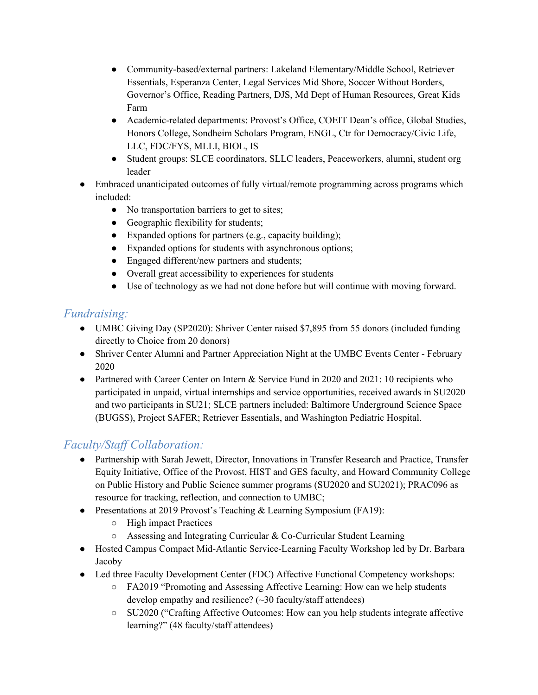- Community-based/external partners: Lakeland Elementary/Middle School, Retriever Essentials, Esperanza Center, Legal Services Mid Shore, Soccer Without Borders, Governor's Office, Reading Partners, DJS, Md Dept of Human Resources, Great Kids Farm
- Academic-related departments: Provost's Office, COEIT Dean's office, Global Studies, Honors College, Sondheim Scholars Program, ENGL, Ctr for Democracy/Civic Life, LLC, FDC/FYS, MLLI, BIOL, IS
- Student groups: SLCE coordinators, SLLC leaders, Peaceworkers, alumni, student org leader
- Embraced unanticipated outcomes of fully virtual/remote programming across programs which included:
	- No transportation barriers to get to sites;
	- Geographic flexibility for students;
	- Expanded options for partners (e.g., capacity building);
	- Expanded options for students with asynchronous options;
	- Engaged different/new partners and students;
	- Overall great accessibility to experiences for students
	- Use of technology as we had not done before but will continue with moving forward.

### *Fundraising:*

- UMBC Giving Day (SP2020): Shriver Center raised \$7,895 from 55 donors (included funding directly to Choice from 20 donors)
- Shriver Center Alumni and Partner Appreciation Night at the UMBC Events Center February 2020
- Partnered with Career Center on Intern & Service Fund in 2020 and 2021: 10 recipients who participated in unpaid, virtual internships and service opportunities, received awards in SU2020 and two participants in SU21; SLCE partners included: Baltimore Underground Science Space (BUGSS), Project SAFER; Retriever Essentials, and Washington Pediatric Hospital.

### *Faculty/Staff Collaboration:*

- Partnership with Sarah Jewett, Director, Innovations in Transfer Research and Practice, Transfer Equity Initiative, Office of the Provost, HIST and GES faculty, and Howard Community College on Public History and Public Science summer programs (SU2020 and SU2021); PRAC096 as resource for tracking, reflection, and connection to UMBC;
- Presentations at 2019 Provost's Teaching & Learning Symposium (FA19):
	- High impact Practices
	- Assessing and Integrating Curricular & Co-Curricular Student Learning
- Hosted Campus Compact Mid-Atlantic Service-Learning Faculty Workshop led by Dr. Barbara Jacoby
- Led three Faculty Development Center (FDC) Affective Functional Competency workshops:
	- FA2019 "Promoting and Assessing Affective Learning: How can we help students develop empathy and resilience? (~30 faculty/staff attendees)
	- SU2020 ("Crafting Affective Outcomes: How can you help students integrate affective learning?" (48 faculty/staff attendees)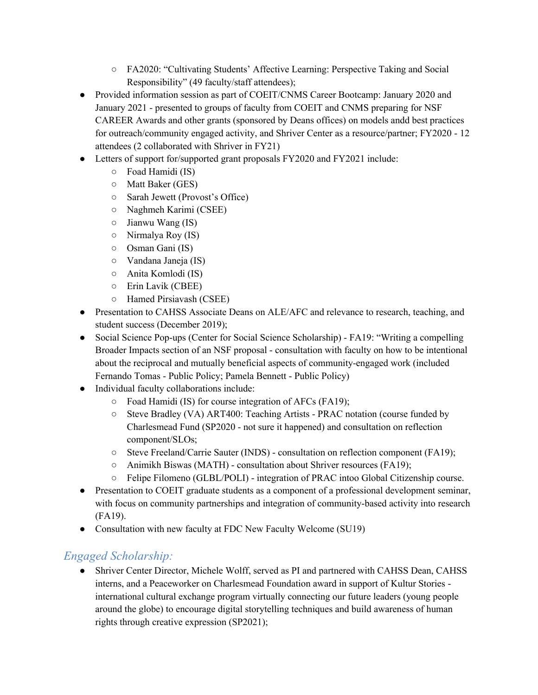- FA2020: "Cultivating Students' Affective Learning: Perspective Taking and Social Responsibility" (49 faculty/staff attendees);
- Provided information session as part of COEIT/CNMS Career Bootcamp: January 2020 and January 2021 - presented to groups of faculty from COEIT and CNMS preparing for NSF CAREER Awards and other grants (sponsored by Deans offices) on models andd best practices for outreach/community engaged activity, and Shriver Center as a resource/partner; FY2020 - 12 attendees (2 collaborated with Shriver in FY21)
- Letters of support for/supported grant proposals FY2020 and FY2021 include:
	- Foad Hamidi (IS)
	- Matt Baker (GES)
	- Sarah Jewett (Provost's Office)
	- Naghmeh Karimi (CSEE)
	- $\circ$  Jianwu Wang (IS)
	- Nirmalya Roy (IS)
	- Osman Gani (IS)
	- Vandana Janeja (IS)
	- Anita Komlodi (IS)
	- Erin Lavik (CBEE)
	- Hamed Pirsiavash (CSEE)
- Presentation to CAHSS Associate Deans on ALE/AFC and relevance to research, teaching, and student success (December 2019);
- Social Science Pop-ups (Center for Social Science Scholarship) FA19: "Writing a compelling Broader Impacts section of an NSF proposal - consultation with faculty on how to be intentional about the reciprocal and mutually beneficial aspects of community-engaged work (included Fernando Tomas - Public Policy; Pamela Bennett - Public Policy)
- Individual faculty collaborations include:
	- Foad Hamidi (IS) for course integration of AFCs (FA19);
	- Steve Bradley (VA) ART400: Teaching Artists PRAC notation (course funded by Charlesmead Fund (SP2020 - not sure it happened) and consultation on reflection component/SLOs;
	- Steve Freeland/Carrie Sauter (INDS) consultation on reflection component (FA19);
	- Animikh Biswas (MATH) consultation about Shriver resources (FA19);
	- Felipe Filomeno (GLBL/POLI) integration of PRAC intoo Global Citizenship course.
- Presentation to COEIT graduate students as a component of a professional development seminar, with focus on community partnerships and integration of community-based activity into research (FA19).
- Consultation with new faculty at FDC New Faculty Welcome (SU19)

### *Engaged Scholarship:*

● Shriver Center Director, Michele Wolff, served as PI and partnered with CAHSS Dean, CAHSS interns, and a Peaceworker on Charlesmead Foundation award in support of Kultur Stories international cultural exchange program virtually connecting our future leaders (young people around the globe) to encourage digital storytelling techniques and build awareness of human rights through creative expression (SP2021);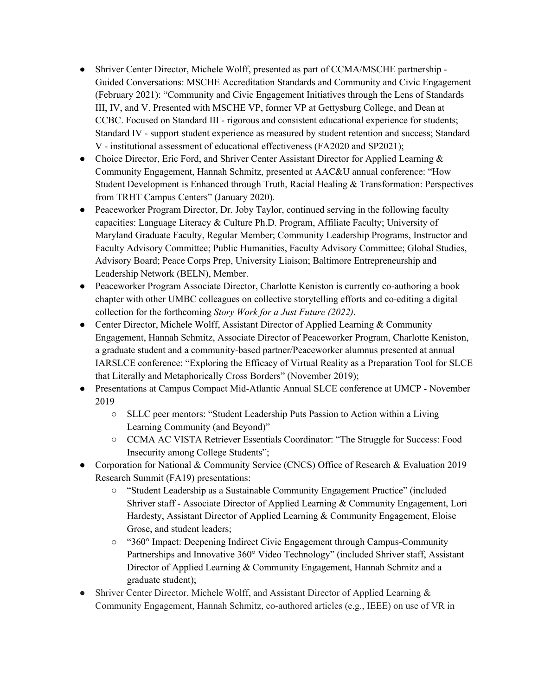- Shriver Center Director, Michele Wolff, presented as part of CCMA/MSCHE partnership -Guided Conversations: MSCHE Accreditation Standards and Community and Civic Engagement (February 2021): "Community and Civic Engagement Initiatives through the Lens of Standards III, IV, and V. Presented with MSCHE VP, former VP at Gettysburg College, and Dean at CCBC. Focused on Standard III - rigorous and consistent educational experience for students; Standard IV - support student experience as measured by student retention and success; Standard V - institutional assessment of educational effectiveness (FA2020 and SP2021);
- Choice Director, Eric Ford, and Shriver Center Assistant Director for Applied Learning & Community Engagement, Hannah Schmitz, presented at AAC&U annual conference: "How Student Development is Enhanced through Truth, Racial Healing & Transformation: Perspectives from TRHT Campus Centers" (January 2020).
- Peaceworker Program Director, Dr. Joby Taylor, continued serving in the following faculty capacities: Language Literacy & Culture Ph.D. Program, Affiliate Faculty; University of Maryland Graduate Faculty, Regular Member; Community Leadership Programs, Instructor and Faculty Advisory Committee; Public Humanities, Faculty Advisory Committee; Global Studies, Advisory Board; Peace Corps Prep, University Liaison; Baltimore Entrepreneurship and Leadership Network (BELN), Member.
- Peaceworker Program Associate Director, Charlotte Keniston is currently co-authoring a book chapter with other UMBC colleagues on collective storytelling efforts and co-editing a digital collection for the forthcoming *Story Work for a Just Future (2022)*.
- Center Director, Michele Wolff, Assistant Director of Applied Learning & Community Engagement, Hannah Schmitz, Associate Director of Peaceworker Program, Charlotte Keniston, a graduate student and a community-based partner/Peaceworker alumnus presented at annual IARSLCE conference: "Exploring the Efficacy of Virtual Reality as a Preparation Tool for SLCE that Literally and Metaphorically Cross Borders" (November 2019);
- Presentations at Campus Compact Mid-Atlantic Annual SLCE conference at UMCP November 2019
	- SLLC peer mentors: "Student Leadership Puts Passion to Action within a Living Learning Community (and Beyond)"
	- CCMA AC VISTA Retriever Essentials Coordinator: "The Struggle for Success: Food Insecurity among College Students";
- Corporation for National & Community Service (CNCS) Office of Research & Evaluation 2019 Research Summit (FA19) presentations:
	- "Student Leadership as a Sustainable Community Engagement Practice" (included Shriver staff - Associate Director of Applied Learning & Community Engagement, Lori Hardesty, Assistant Director of Applied Learning & Community Engagement, Eloise Grose, and student leaders;
	- "360° Impact: Deepening Indirect Civic Engagement through Campus-Community Partnerships and Innovative 360° Video Technology" (included Shriver staff, Assistant Director of Applied Learning & Community Engagement, Hannah Schmitz and a graduate student);
- Shriver Center Director, Michele Wolff, and Assistant Director of Applied Learning & Community Engagement, Hannah Schmitz, co-authored articles (e.g., IEEE) on use of VR in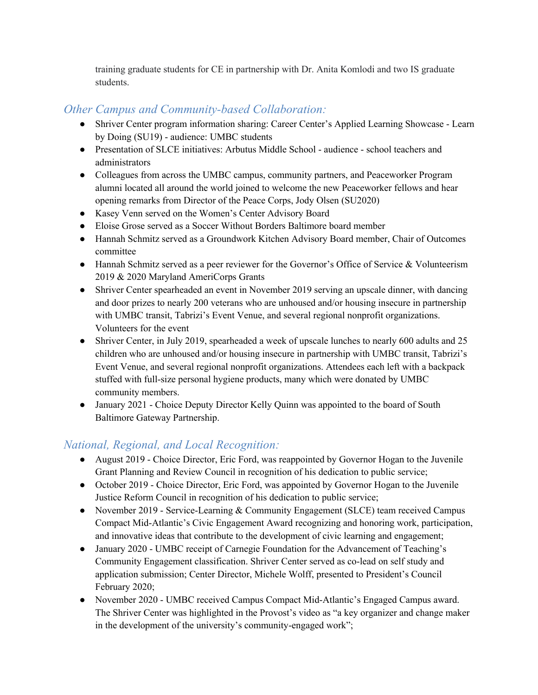training graduate students for CE in partnership with Dr. Anita Komlodi and two IS graduate students.

### *Other Campus and Community-based Collaboration:*

- Shriver Center program information sharing: Career Center's Applied Learning Showcase Learn by Doing (SU19) - audience: UMBC students
- Presentation of SLCE initiatives: Arbutus Middle School audience school teachers and administrators
- Colleagues from across the UMBC campus, community partners, and Peaceworker Program alumni located all around the world joined to welcome the new Peaceworker fellows and hear opening remarks from Director of the Peace Corps, Jody Olsen (SU2020)
- Kasey Venn served on the Women's Center Advisory Board
- Eloise Grose served as a Soccer Without Borders Baltimore board member
- Hannah Schmitz served as a Groundwork Kitchen Advisory Board member, Chair of Outcomes committee
- Hannah Schmitz served as a peer reviewer for the Governor's Office of Service & Volunteerism 2019 & 2020 Maryland AmeriCorps Grants
- Shriver Center spearheaded an event in November 2019 serving an upscale dinner, with dancing and door prizes to nearly 200 veterans who are unhoused and/or housing insecure in partnership with UMBC transit, Tabrizi's Event Venue, and several regional nonprofit organizations. Volunteers for the event
- Shriver Center, in July 2019, spearheaded a week of upscale lunches to nearly 600 adults and 25 children who are unhoused and/or housing insecure in partnership with UMBC transit, Tabrizi's Event Venue, and several regional nonprofit organizations. Attendees each left with a backpack stuffed with full-size personal hygiene products, many which were donated by UMBC community members.
- January 2021 Choice Deputy Director Kelly Quinn was appointed to the board of South Baltimore Gateway Partnership.

### *National, Regional, and Local Recognition:*

- August 2019 Choice Director, Eric Ford, was reappointed by Governor Hogan to the Juvenile Grant Planning and Review Council in recognition of his dedication to public service;
- October 2019 Choice Director, Eric Ford, was appointed by Governor Hogan to the Juvenile Justice Reform Council in recognition of his dedication to public service;
- November 2019 Service-Learning & Community Engagement (SLCE) team received Campus Compact Mid-Atlantic's Civic Engagement Award recognizing and honoring work, participation, and innovative ideas that contribute to the development of civic learning and engagement;
- January 2020 UMBC receipt of Carnegie Foundation for the Advancement of Teaching's Community Engagement classification. Shriver Center served as co-lead on self study and application submission; Center Director, Michele Wolff, presented to President's Council February 2020;
- November 2020 UMBC received Campus Compact Mid-Atlantic's Engaged Campus award. The Shriver Center was highlighted in the Provost's video as "a key organizer and change maker in the development of the university's community-engaged work";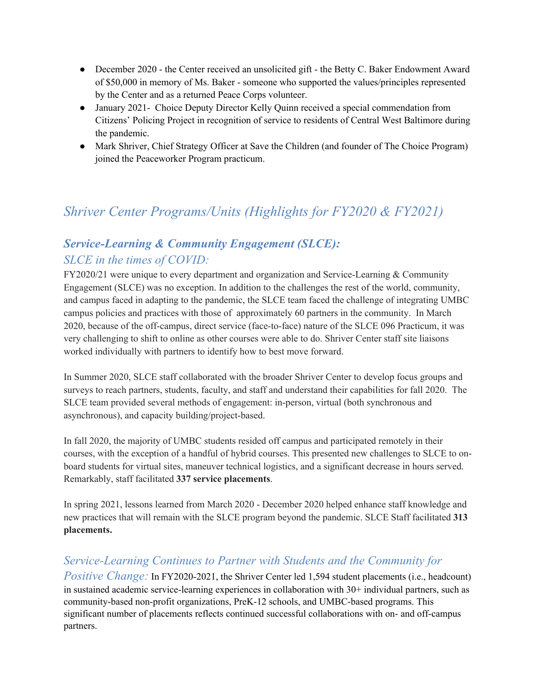- December 2020 the Center received an unsolicited gift the Betty C. Baker Endowment Award of \$50,000 in memory of Ms. Baker - someone who supported the values/principles represented by the Center and as a returned Peace Corps volunteer.
- January 2021 Choice Deputy Director Kelly Quinn received a special commendation from Citizens' Policing Project in recognition of service to residents of Central West Baltimore during the pandemic.
- Mark Shriver, Chief Strategy Officer at Save the Children (and founder of The Choice Program) joined the Peaceworker Program practicum.

# *Shriver Center Programs/Units (Highlights for FY2020 & FY2021)*

### *Service-Learning & Community Engagement (SLCE): SLCE in the times of COVID:*

FY2020/21 were unique to every department and organization and Service-Learning & Community Engagement (SLCE) was no exception. In addition to the challenges the rest of the world, community, and campus faced in adapting to the pandemic, the SLCE team faced the challenge of integrating UMBC campus policies and practices with those of approximately 60 partners in the community. In March 2020, because of the off-campus, direct service (face-to-face) nature of the SLCE 096 Practicum, it was very challenging to shift to online as other courses were able to do. Shriver Center staff site liaisons worked individually with partners to identify how to best move forward.

In Summer 2020, SLCE staff collaborated with the broader Shriver Center to develop focus groups and surveys to reach partners, students, faculty, and staff and understand their capabilities for fall 2020. The SLCE team provided several methods of engagement: in-person, virtual (both synchronous and asynchronous), and capacity building/project-based.

In fall 2020, the majority of UMBC students resided off campus and participated remotely in their courses, with the exception of a handful of hybrid courses. This presented new challenges to SLCE to onboard students for virtual sites, maneuver technical logistics, and a significant decrease in hours served. Remarkably, staff facilitated **337 service placements**.

In spring 2021, lessons learned from March 2020 - December 2020 helped enhance staff knowledge and new practices that will remain with the SLCE program beyond the pandemic. SLCE Staff facilitated **313 placements.**

### *Service-Learning Continues to Partner with Students and the Community for*

*Positive Change:* In FY2020-2021, the Shriver Center led 1,594 student placements (i.e., headcount) in sustained academic service-learning experiences in collaboration with 30+ individual partners, such as community-based non-profit organizations, PreK-12 schools, and UMBC-based programs. This significant number of placements reflects continued successful collaborations with on- and off-campus partners.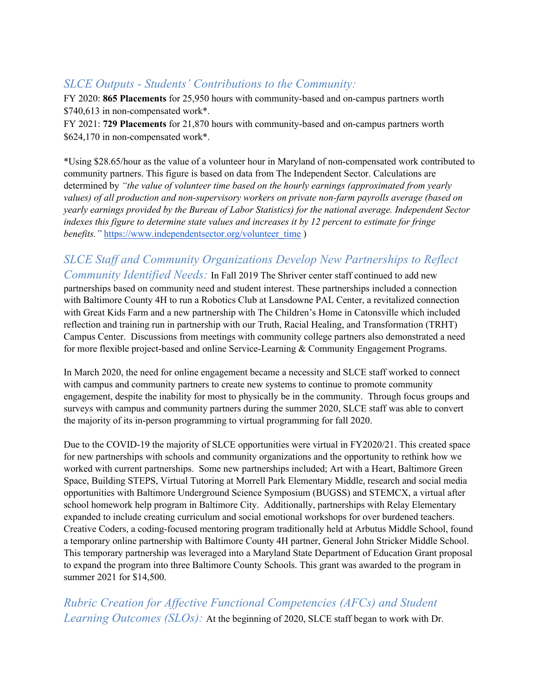### *SLCE Outputs - Students' Contributions to the Community:*

FY 2020: **865 Placements** for 25,950 hours with community-based and on-campus partners worth \$740,613 in non-compensated work\*.

FY 2021: **729 Placements** for 21,870 hours with community-based and on-campus partners worth \$624,170 in non-compensated work\*.

\*Using \$28.65/hour as the value of a volunteer hour in Maryland of non-compensated work contributed to community partners. This figure is based on data from The Independent Sector. Calculations are determined by *"the value of volunteer time based on the hourly earnings (approximated from yearly values) of all production and non-supervisory workers on private non-farm payrolls average (based on yearly earnings provided by the Bureau of Labor Statistics) for the national average. Independent Sector indexes this figure to determine state values and increases it by 12 percent to estimate for fringe benefits.*" https://www.independentsector.org/volunteer\_time )

### *SLCE Staff and Community Organizations Develop New Partnerships to Reflect Community Identified Needs:* In Fall 2019 The Shriver center staff continued to add new

partnerships based on community need and student interest. These partnerships included a connection with Baltimore County 4H to run a Robotics Club at Lansdowne PAL Center, a revitalized connection with Great Kids Farm and a new partnership with The Children's Home in Catonsville which included reflection and training run in partnership with our Truth, Racial Healing, and Transformation (TRHT) Campus Center. Discussions from meetings with community college partners also demonstrated a need for more flexible project-based and online Service-Learning & Community Engagement Programs.

In March 2020, the need for online engagement became a necessity and SLCE staff worked to connect with campus and community partners to create new systems to continue to promote community engagement, despite the inability for most to physically be in the community. Through focus groups and surveys with campus and community partners during the summer 2020, SLCE staff was able to convert the majority of its in-person programming to virtual programming for fall 2020.

Due to the COVID-19 the majority of SLCE opportunities were virtual in FY2020/21. This created space for new partnerships with schools and community organizations and the opportunity to rethink how we worked with current partnerships. Some new partnerships included; Art with a Heart, Baltimore Green Space, Building STEPS, Virtual Tutoring at Morrell Park Elementary Middle, research and social media opportunities with Baltimore Underground Science Symposium (BUGSS) and STEMCX, a virtual after school homework help program in Baltimore City. Additionally, partnerships with Relay Elementary expanded to include creating curriculum and social emotional workshops for over burdened teachers. Creative Coders, a coding-focused mentoring program traditionally held at Arbutus Middle School, found a temporary online partnership with Baltimore County 4H partner, General John Stricker Middle School. This temporary partnership was leveraged into a Maryland State Department of Education Grant proposal to expand the program into three Baltimore County Schools. This grant was awarded to the program in summer 2021 for \$14,500.

*Rubric Creation for Affective Functional Competencies (AFCs) and Student Learning Outcomes (SLOs):* At the beginning of 2020, SLCE staff began to work with Dr.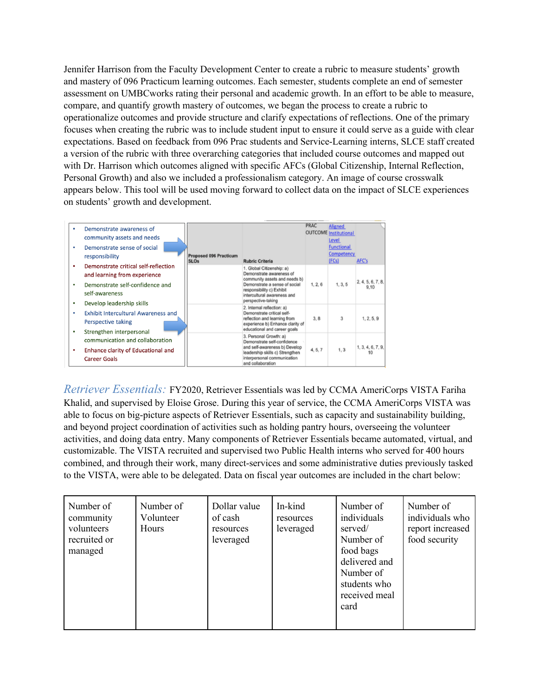Jennifer Harrison from the Faculty Development Center to create a rubric to measure students' growth and mastery of 096 Practicum learning outcomes. Each semester, students complete an end of semester assessment on UMBCworks rating their personal and academic growth. In an effort to be able to measure, compare, and quantify growth mastery of outcomes, we began the process to create a rubric to operationalize outcomes and provide structure and clarify expectations of reflections. One of the primary focuses when creating the rubric was to include student input to ensure it could serve as a guide with clear expectations. Based on feedback from 096 Prac students and Service-Learning interns, SLCE staff created a version of the rubric with three overarching categories that included course outcomes and mapped out with Dr. Harrison which outcomes aligned with specific AFCs (Global Citizenship, Internal Reflection, Personal Growth) and also we included a professionalism category. An image of course crosswalk appears below. This tool will be used moving forward to collect data on the impact of SLCE experiences on students' growth and development.

|   | Demonstrate awareness of                   |                                              |                                                                  | <b>PRAC</b> | <b>Aligned</b>                               |                   |
|---|--------------------------------------------|----------------------------------------------|------------------------------------------------------------------|-------------|----------------------------------------------|-------------------|
|   | community assets and needs                 |                                              |                                                                  |             | <b>OUTCOME</b> Institutional<br><u>Level</u> |                   |
| ٠ | Demonstrate sense of social                |                                              |                                                                  |             | <b>Functional</b>                            |                   |
|   | responsibility                             | <b>Proposed 096 Practicum</b><br><b>SLOs</b> | <b>Rubric Criteria</b>                                           |             | <b>Competency</b><br>(FCs)                   | AFC's             |
| ٠ | Demonstrate critical self-reflection       |                                              | 1. Global Citizenship: a)                                        |             |                                              |                   |
|   | and learning from experience               |                                              | Demonstrate awareness of<br>community assets and needs b)        |             |                                              | 2, 4, 5, 6, 7, 8, |
| ٠ | Demonstrate self-confidence and            |                                              | Demonstrate a sense of social<br>responsibility c) Exhibit       | 1, 2, 6     | 1, 3, 5                                      | 9.10              |
|   | self-awareness                             |                                              | intercultural awareness and<br>perspective-taking                |             |                                              |                   |
| ٠ | Develop leadership skills                  |                                              | 2. Internal reflection: a)                                       |             |                                              |                   |
| ٠ | <b>Exhibit Intercultural Awareness and</b> |                                              | Demonstrate critical self-<br>reflection and learning from       | 3, 8        | 3                                            | 1, 2, 5, 9        |
|   | Perspective taking                         |                                              | experience b) Enhance clarity of                                 |             |                                              |                   |
| ٠ | Strengthen interpersonal                   |                                              | educational and career goals                                     |             |                                              |                   |
|   | communication and collaboration            |                                              | 3. Personal Growth: a)<br>Demonstrate self-confidence            |             |                                              |                   |
| ٠ | Enhance clarity of Educational and         |                                              | and self-awareness b) Develop<br>leadership skills c) Strengthen | 4, 5, 7     | 1, 3                                         | 1, 3, 4, 6, 7, 9, |
|   | <b>Career Goals</b>                        |                                              | interpersonal communication<br>and collaboration                 |             |                                              |                   |

*Retriever Essentials:* FY2020, Retriever Essentials was led by CCMA AmeriCorps VISTA Fariha Khalid, and supervised by Eloise Grose. During this year of service, the CCMA AmeriCorps VISTA was able to focus on big-picture aspects of Retriever Essentials, such as capacity and sustainability building, and beyond project coordination of activities such as holding pantry hours, overseeing the volunteer activities, and doing data entry. Many components of Retriever Essentials became automated, virtual, and customizable. The VISTA recruited and supervised two Public Health interns who served for 400 hours combined, and through their work, many direct-services and some administrative duties previously tasked to the VISTA, were able to be delegated. Data on fiscal year outcomes are included in the chart below:

| Number of<br>community<br>volunteers<br>recruited or<br>managed | Number of<br>Volunteer<br>Hours | Dollar value<br>of cash<br>resources<br>leveraged | In-kind<br>resources<br>leveraged | Number of<br>individuals<br>served/<br>Number of<br>food bags<br>delivered and<br>Number of<br>students who<br>received meal<br>card | Number of<br>individuals who<br>report increased<br>food security |
|-----------------------------------------------------------------|---------------------------------|---------------------------------------------------|-----------------------------------|--------------------------------------------------------------------------------------------------------------------------------------|-------------------------------------------------------------------|
|                                                                 |                                 |                                                   |                                   |                                                                                                                                      |                                                                   |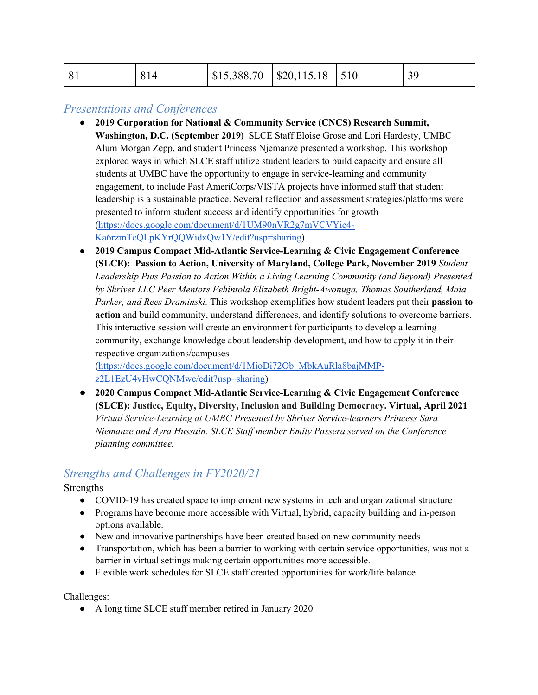| 81<br>814 | $\vert$ \$15,388.70 $\vert$ \$20,115.18 $\vert$ 510 |  |  |  |
|-----------|-----------------------------------------------------|--|--|--|
|-----------|-----------------------------------------------------|--|--|--|

#### *Presentations and Conferences*

- **2019 Corporation for National & Community Service (CNCS) Research Summit, Washington, D.C. (September 2019)** SLCE Staff Eloise Grose and Lori Hardesty, UMBC Alum Morgan Zepp, and student Princess Njemanze presented a workshop. This workshop explored ways in which SLCE staff utilize student leaders to build capacity and ensure all students at UMBC have the opportunity to engage in service-learning and community engagement, to include Past AmeriCorps/VISTA projects have informed staff that student leadership is a sustainable practice. Several reflection and assessment strategies/platforms were presented to inform student success and identify opportunities for growth (https://docs.google.com/document/d/1UM90nVR2g7mVCVYic4- Ka6rzmTcQLpKYrQQWidxQw1Y/edit?usp=sharing)
- **2019 Campus Compact Mid-Atlantic Service-Learning & Civic Engagement Conference (SLCE): Passion to Action, University of Maryland, College Park, November 2019** *Student Leadership Puts Passion to Action Within a Living Learning Community (and Beyond) Presented by Shriver LLC Peer Mentors Fehintola Elizabeth Bright-Awonuga, Thomas Southerland, Maia Parker, and Rees Draminski.* This workshop exemplifies how student leaders put their **passion to action** and build community, understand differences, and identify solutions to overcome barriers. This interactive session will create an environment for participants to develop a learning community, exchange knowledge about leadership development, and how to apply it in their respective organizations/campuses

(https://docs.google.com/document/d/1MioDi72Ob\_MbkAuRla8bajMMPz2L1EzU4vHwCQNMwc/edit?usp=sharing)

● **2020 Campus Compact Mid-Atlantic Service-Learning & Civic Engagement Conference (SLCE): Justice, Equity, Diversity, Inclusion and Building Democracy. Virtual, April 2021**  *Virtual Service-Learning at UMBC Presented by Shriver Service-learners Princess Sara Njemanze and Ayra Hussain. SLCE Staff member Emily Passera served on the Conference planning committee.* 

### *Strengths and Challenges in FY2020/21*

Strengths

- COVID-19 has created space to implement new systems in tech and organizational structure
- Programs have become more accessible with Virtual, hybrid, capacity building and in-person options available.
- New and innovative partnerships have been created based on new community needs
- Transportation, which has been a barrier to working with certain service opportunities, was not a barrier in virtual settings making certain opportunities more accessible.
- Flexible work schedules for SLCE staff created opportunities for work/life balance

Challenges:

● A long time SLCE staff member retired in January 2020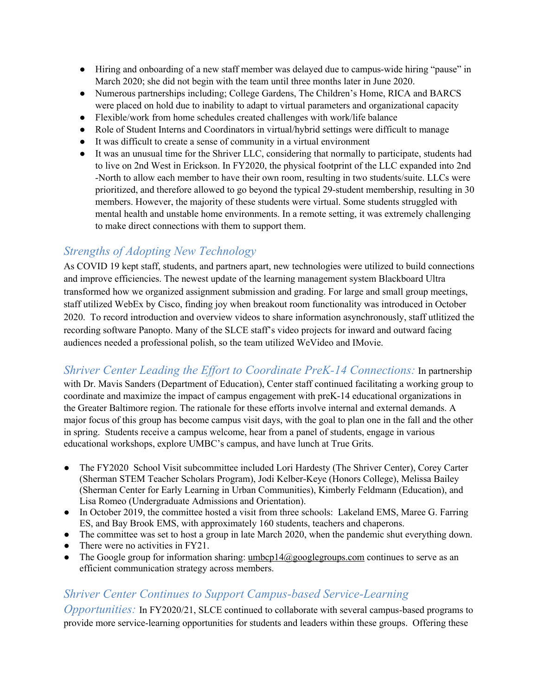- Hiring and onboarding of a new staff member was delayed due to campus-wide hiring "pause" in March 2020; she did not begin with the team until three months later in June 2020.
- Numerous partnerships including; College Gardens, The Children's Home, RICA and BARCS were placed on hold due to inability to adapt to virtual parameters and organizational capacity
- Flexible/work from home schedules created challenges with work/life balance
- Role of Student Interns and Coordinators in virtual/hybrid settings were difficult to manage
- It was difficult to create a sense of community in a virtual environment
- It was an unusual time for the Shriver LLC, considering that normally to participate, students had to live on 2nd West in Erickson. In FY2020, the physical footprint of the LLC expanded into 2nd -North to allow each member to have their own room, resulting in two students/suite. LLCs were prioritized, and therefore allowed to go beyond the typical 29-student membership, resulting in 30 members. However, the majority of these students were virtual. Some students struggled with mental health and unstable home environments. In a remote setting, it was extremely challenging to make direct connections with them to support them.

### *Strengths of Adopting New Technology*

As COVID 19 kept staff, students, and partners apart, new technologies were utilized to build connections and improve efficiencies. The newest update of the learning management system Blackboard Ultra transformed how we organized assignment submission and grading. For large and small group meetings, staff utilized WebEx by Cisco, finding joy when breakout room functionality was introduced in October 2020. To record introduction and overview videos to share information asynchronously, staff utlitized the recording software Panopto. Many of the SLCE staff's video projects for inward and outward facing audiences needed a professional polish, so the team utilized WeVideo and IMovie.

*Shriver Center Leading the Effort to Coordinate PreK-14 Connections:* In partnership

with Dr. Mavis Sanders (Department of Education), Center staff continued facilitating a working group to coordinate and maximize the impact of campus engagement with preK-14 educational organizations in the Greater Baltimore region. The rationale for these efforts involve internal and external demands. A major focus of this group has become campus visit days, with the goal to plan one in the fall and the other in spring. Students receive a campus welcome, hear from a panel of students, engage in various educational workshops, explore UMBC's campus, and have lunch at True Grits.

- The FY2020 School Visit subcommittee included Lori Hardesty (The Shriver Center), Corey Carter (Sherman STEM Teacher Scholars Program), Jodi Kelber-Keye (Honors College), Melissa Bailey (Sherman Center for Early Learning in Urban Communities), Kimberly Feldmann (Education), and Lisa Romeo (Undergraduate Admissions and Orientation).
- In October 2019, the committee hosted a visit from three schools: Lakeland EMS, Maree G. Farring ES, and Bay Brook EMS, with approximately 160 students, teachers and chaperons.
- The committee was set to host a group in late March 2020, when the pandemic shut everything down.
- There were no activities in FY21.
- The Google group for information sharing:  $umbcp14@googlegroups.com$  continues to serve as an efficient communication strategy across members.

#### *Shriver Center Continues to Support Campus-based Service-Learning*

*Opportunities:* In FY2020/21, SLCE continued to collaborate with several campus-based programs to provide more service-learning opportunities for students and leaders within these groups. Offering these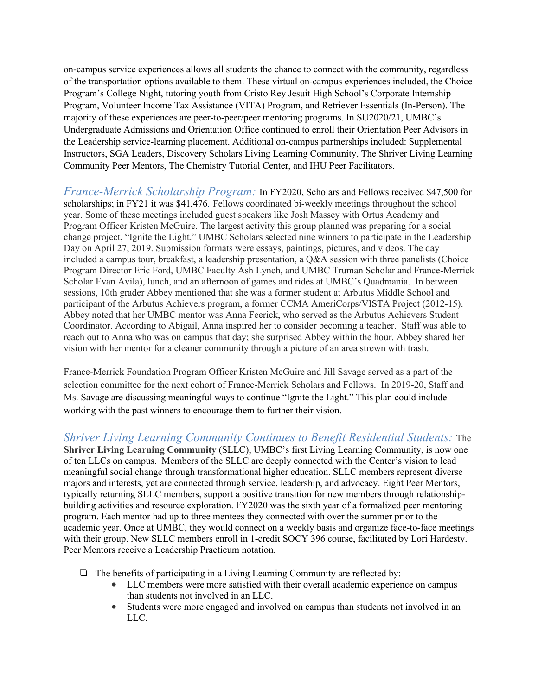on-campus service experiences allows all students the chance to connect with the community, regardless of the transportation options available to them. These virtual on-campus experiences included, the Choice Program's College Night, tutoring youth from Cristo Rey Jesuit High School's Corporate Internship Program, Volunteer Income Tax Assistance (VITA) Program, and Retriever Essentials (In-Person). The majority of these experiences are peer-to-peer/peer mentoring programs. In SU2020/21, UMBC's Undergraduate Admissions and Orientation Office continued to enroll their Orientation Peer Advisors in the Leadership service-learning placement. Additional on-campus partnerships included: Supplemental Instructors, SGA Leaders, Discovery Scholars Living Learning Community, The Shriver Living Learning Community Peer Mentors, The Chemistry Tutorial Center, and IHU Peer Facilitators.

*France-Merrick Scholarship Program:* In FY2020, Scholars and Fellows received \$47,500 for scholarships; in FY21 it was \$41,476. Fellows coordinated bi-weekly meetings throughout the school year. Some of these meetings included guest speakers like Josh Massey with Ortus Academy and Program Officer Kristen McGuire. The largest activity this group planned was preparing for a social change project, "Ignite the Light." UMBC Scholars selected nine winners to participate in the Leadership Day on April 27, 2019. Submission formats were essays, paintings, pictures, and videos. The day included a campus tour, breakfast, a leadership presentation, a Q&A session with three panelists (Choice Program Director Eric Ford, UMBC Faculty Ash Lynch, and UMBC Truman Scholar and France-Merrick Scholar Evan Avila), lunch, and an afternoon of games and rides at UMBC's Quadmania. In between sessions, 10th grader Abbey mentioned that she was a former student at Arbutus Middle School and participant of the Arbutus Achievers program, a former CCMA AmeriCorps/VISTA Project (2012-15). Abbey noted that her UMBC mentor was Anna Feerick, who served as the Arbutus Achievers Student Coordinator. According to Abigail, Anna inspired her to consider becoming a teacher. Staff was able to reach out to Anna who was on campus that day; she surprised Abbey within the hour. Abbey shared her vision with her mentor for a cleaner community through a picture of an area strewn with trash.

France-Merrick Foundation Program Officer Kristen McGuire and Jill Savage served as a part of the selection committee for the next cohort of France-Merrick Scholars and Fellows. In 2019-20, Staff and Ms. Savage are discussing meaningful ways to continue "Ignite the Light." This plan could include working with the past winners to encourage them to further their vision.

*Shriver Living Learning Community Continues to Benefit Residential Students:* The **Shriver Living Learning Community** (SLLC), UMBC's first Living Learning Community, is now one of ten LLCs on campus. Members of the SLLC are deeply connected with the Center's vision to lead meaningful social change through transformational higher education. SLLC members represent diverse majors and interests, yet are connected through service, leadership, and advocacy. Eight Peer Mentors, typically returning SLLC members, support a positive transition for new members through relationshipbuilding activities and resource exploration. FY2020 was the sixth year of a formalized peer mentoring program. Each mentor had up to three mentees they connected with over the summer prior to the academic year. Once at UMBC, they would connect on a weekly basis and organize face-to-face meetings with their group. New SLLC members enroll in 1-credit SOCY 396 course, facilitated by Lori Hardesty. Peer Mentors receive a Leadership Practicum notation.

- ❏ The benefits of participating in a Living Learning Community are reflected by:
	- LLC members were more satisfied with their overall academic experience on campus than students not involved in an LLC.
	- Students were more engaged and involved on campus than students not involved in an LLC.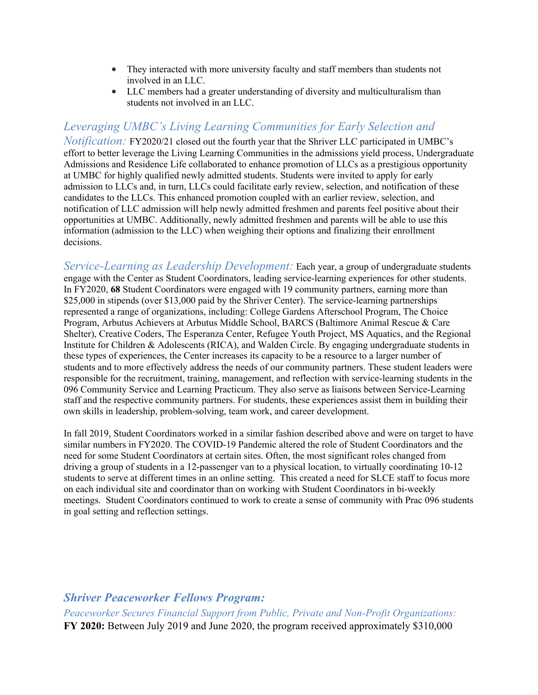- They interacted with more university faculty and staff members than students not involved in an LLC.
- LLC members had a greater understanding of diversity and multiculturalism than students not involved in an LLC.

### *Leveraging UMBC's Living Learning Communities for Early Selection and*

*Notification:* FY2020/21 closed out the fourth year that the Shriver LLC participated in UMBC's effort to better leverage the Living Learning Communities in the admissions yield process, Undergraduate Admissions and Residence Life collaborated to enhance promotion of LLCs as a prestigious opportunity at UMBC for highly qualified newly admitted students. Students were invited to apply for early admission to LLCs and, in turn, LLCs could facilitate early review, selection, and notification of these candidates to the LLCs. This enhanced promotion coupled with an earlier review, selection, and notification of LLC admission will help newly admitted freshmen and parents feel positive about their opportunities at UMBC. Additionally, newly admitted freshmen and parents will be able to use this information (admission to the LLC) when weighing their options and finalizing their enrollment decisions.

*Service-Learning as Leadership Development:* Each year, a group of undergraduate students engage with the Center as Student Coordinators, leading service-learning experiences for other students. In FY2020, **68** Student Coordinators were engaged with 19 community partners, earning more than \$25,000 in stipends (over \$13,000 paid by the Shriver Center). The service-learning partnerships represented a range of organizations, including: College Gardens Afterschool Program, The Choice Program, Arbutus Achievers at Arbutus Middle School, BARCS (Baltimore Animal Rescue & Care Shelter), Creative Coders, The Esperanza Center, Refugee Youth Project, MS Aquatics, and the Regional Institute for Children & Adolescents (RICA), and Walden Circle. By engaging undergraduate students in these types of experiences, the Center increases its capacity to be a resource to a larger number of students and to more effectively address the needs of our community partners. These student leaders were responsible for the recruitment, training, management, and reflection with service-learning students in the 096 Community Service and Learning Practicum. They also serve as liaisons between Service-Learning staff and the respective community partners. For students, these experiences assist them in building their own skills in leadership, problem-solving, team work, and career development.

In fall 2019, Student Coordinators worked in a similar fashion described above and were on target to have similar numbers in FY2020. The COVID-19 Pandemic altered the role of Student Coordinators and the need for some Student Coordinators at certain sites. Often, the most significant roles changed from driving a group of students in a 12-passenger van to a physical location, to virtually coordinating 10-12 students to serve at different times in an online setting. This created a need for SLCE staff to focus more on each individual site and coordinator than on working with Student Coordinators in bi-weekly meetings. Student Coordinators continued to work to create a sense of community with Prac 096 students in goal setting and reflection settings.

#### *Shriver Peaceworker Fellows Program:*

*Peaceworker Secures Financial Support from Public, Private and Non-Profit Organizations:* **FY 2020:** Between July 2019 and June 2020, the program received approximately \$310,000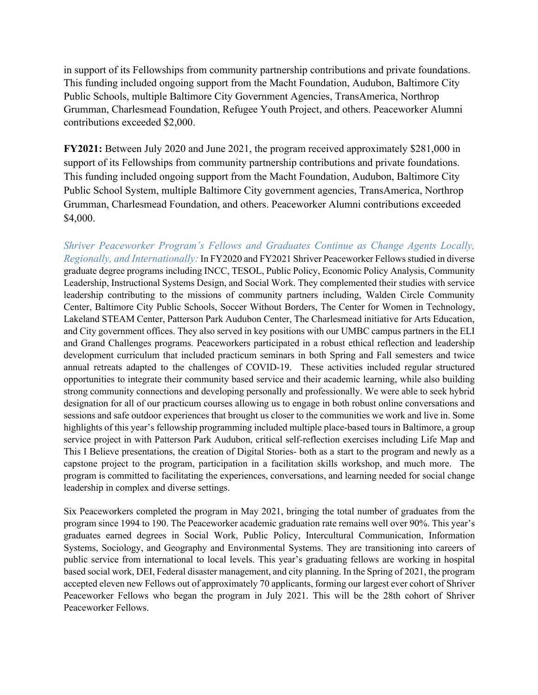in support of its Fellowships from community partnership contributions and private foundations. This funding included ongoing support from the Macht Foundation, Audubon, Baltimore City Public Schools, multiple Baltimore City Government Agencies, TransAmerica, Northrop Grumman, Charlesmead Foundation, Refugee Youth Project, and others. Peaceworker Alumni contributions exceeded \$2,000.

**FY2021:** Between July 2020 and June 2021, the program received approximately \$281,000 in support of its Fellowships from community partnership contributions and private foundations. This funding included ongoing support from the Macht Foundation, Audubon, Baltimore City Public School System, multiple Baltimore City government agencies, TransAmerica, Northrop Grumman, Charlesmead Foundation, and others. Peaceworker Alumni contributions exceeded \$4,000.

*Shriver Peaceworker Program's Fellows and Graduates Continue as Change Agents Locally, Regionally, and Internationally:* In FY2020 and FY2021 Shriver Peaceworker Fellows studied in diverse graduate degree programs including INCC, TESOL, Public Policy, Economic Policy Analysis, Community Leadership, Instructional Systems Design, and Social Work. They complemented their studies with service leadership contributing to the missions of community partners including, Walden Circle Community Center, Baltimore City Public Schools, Soccer Without Borders, The Center for Women in Technology, Lakeland STEAM Center, Patterson Park Audubon Center, The Charlesmead initiative for Arts Education, and City government offices. They also served in key positions with our UMBC campus partners in the ELI and Grand Challenges programs. Peaceworkers participated in a robust ethical reflection and leadership development curriculum that included practicum seminars in both Spring and Fall semesters and twice annual retreats adapted to the challenges of COVID-19. These activities included regular structured opportunities to integrate their community based service and their academic learning, while also building strong community connections and developing personally and professionally. We were able to seek hybrid designation for all of our practicum courses allowing us to engage in both robust online conversations and sessions and safe outdoor experiences that brought us closer to the communities we work and live in. Some highlights of this year's fellowship programming included multiple place-based tours in Baltimore, a group service project in with Patterson Park Audubon, critical self-reflection exercises including Life Map and This I Believe presentations, the creation of Digital Stories- both as a start to the program and newly as a capstone project to the program, participation in a facilitation skills workshop, and much more. The program is committed to facilitating the experiences, conversations, and learning needed for social change leadership in complex and diverse settings.

Six Peaceworkers completed the program in May 2021, bringing the total number of graduates from the program since 1994 to 190. The Peaceworker academic graduation rate remains well over 90%. This year's graduates earned degrees in Social Work, Public Policy, Intercultural Communication, Information Systems, Sociology, and Geography and Environmental Systems. They are transitioning into careers of public service from international to local levels. This year's graduating fellows are working in hospital based social work, DEI, Federal disaster management, and city planning. In the Spring of 2021, the program accepted eleven new Fellows out of approximately 70 applicants, forming our largest ever cohort of Shriver Peaceworker Fellows who began the program in July 2021. This will be the 28th cohort of Shriver Peaceworker Fellows.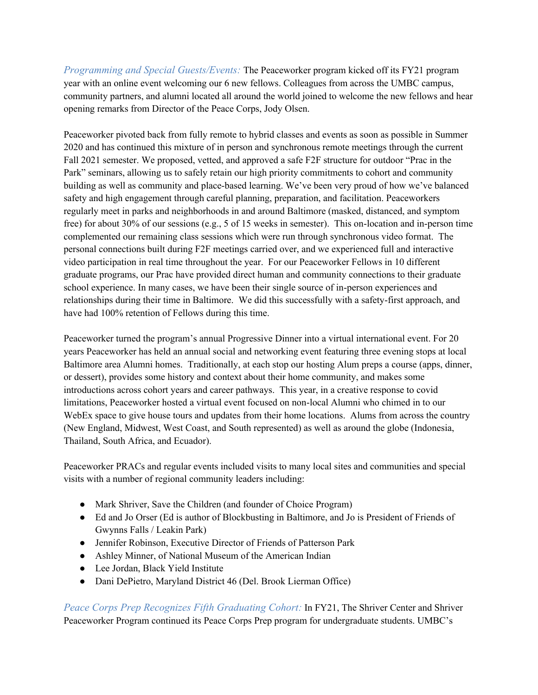*Programming and Special Guests/Events:* The Peaceworker program kicked off its FY21 program year with an online event welcoming our 6 new fellows. Colleagues from across the UMBC campus, community partners, and alumni located all around the world joined to welcome the new fellows and hear opening remarks from Director of the Peace Corps, Jody Olsen.

Peaceworker pivoted back from fully remote to hybrid classes and events as soon as possible in Summer 2020 and has continued this mixture of in person and synchronous remote meetings through the current Fall 2021 semester. We proposed, vetted, and approved a safe F2F structure for outdoor "Prac in the Park" seminars, allowing us to safely retain our high priority commitments to cohort and community building as well as community and place-based learning. We've been very proud of how we've balanced safety and high engagement through careful planning, preparation, and facilitation. Peaceworkers regularly meet in parks and neighborhoods in and around Baltimore (masked, distanced, and symptom free) for about 30% of our sessions (e.g., 5 of 15 weeks in semester). This on-location and in-person time complemented our remaining class sessions which were run through synchronous video format. The personal connections built during F2F meetings carried over, and we experienced full and interactive video participation in real time throughout the year. For our Peaceworker Fellows in 10 different graduate programs, our Prac have provided direct human and community connections to their graduate school experience. In many cases, we have been their single source of in-person experiences and relationships during their time in Baltimore. We did this successfully with a safety-first approach, and have had 100% retention of Fellows during this time.

Peaceworker turned the program's annual Progressive Dinner into a virtual international event. For 20 years Peaceworker has held an annual social and networking event featuring three evening stops at local Baltimore area Alumni homes. Traditionally, at each stop our hosting Alum preps a course (apps, dinner, or dessert), provides some history and context about their home community, and makes some introductions across cohort years and career pathways. This year, in a creative response to covid limitations, Peaceworker hosted a virtual event focused on non-local Alumni who chimed in to our WebEx space to give house tours and updates from their home locations. Alums from across the country (New England, Midwest, West Coast, and South represented) as well as around the globe (Indonesia, Thailand, South Africa, and Ecuador).

Peaceworker PRACs and regular events included visits to many local sites and communities and special visits with a number of regional community leaders including:

- Mark Shriver, Save the Children (and founder of Choice Program)
- Ed and Jo Orser (Ed is author of Blockbusting in Baltimore, and Jo is President of Friends of Gwynns Falls / Leakin Park)
- Jennifer Robinson, Executive Director of Friends of Patterson Park
- Ashley Minner, of National Museum of the American Indian
- Lee Jordan, Black Yield Institute
- Dani DePietro, Maryland District 46 (Del. Brook Lierman Office)

*Peace Corps Prep Recognizes Fifth Graduating Cohort:* In FY21, The Shriver Center and Shriver Peaceworker Program continued its Peace Corps Prep program for undergraduate students. UMBC's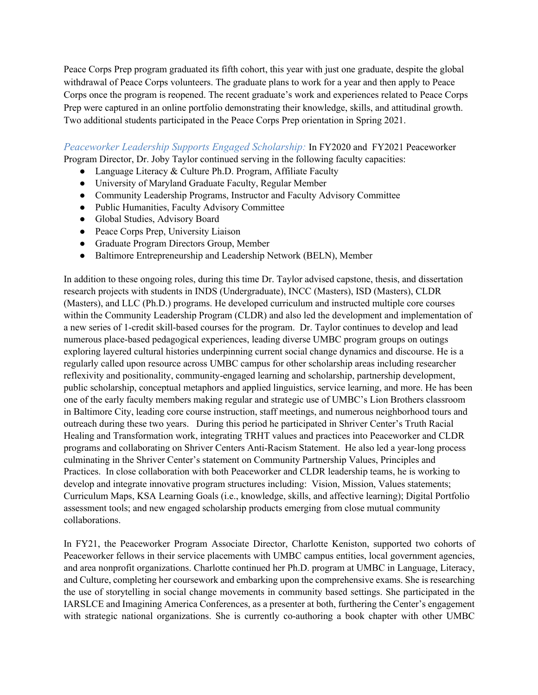Peace Corps Prep program graduated its fifth cohort, this year with just one graduate, despite the global withdrawal of Peace Corps volunteers. The graduate plans to work for a year and then apply to Peace Corps once the program is reopened. The recent graduate's work and experiences related to Peace Corps Prep were captured in an online portfolio demonstrating their knowledge, skills, and attitudinal growth. Two additional students participated in the Peace Corps Prep orientation in Spring 2021.

*Peaceworker Leadership Supports Engaged Scholarship:* In FY2020 and FY2021 Peaceworker Program Director, Dr. Joby Taylor continued serving in the following faculty capacities:

- Language Literacy & Culture Ph.D. Program, Affiliate Faculty
- University of Maryland Graduate Faculty, Regular Member
- Community Leadership Programs, Instructor and Faculty Advisory Committee
- Public Humanities, Faculty Advisory Committee
- Global Studies, Advisory Board
- Peace Corps Prep, University Liaison
- Graduate Program Directors Group, Member
- Baltimore Entrepreneurship and Leadership Network (BELN), Member

In addition to these ongoing roles, during this time Dr. Taylor advised capstone, thesis, and dissertation research projects with students in INDS (Undergraduate), INCC (Masters), ISD (Masters), CLDR (Masters), and LLC (Ph.D.) programs. He developed curriculum and instructed multiple core courses within the Community Leadership Program (CLDR) and also led the development and implementation of a new series of 1-credit skill-based courses for the program. Dr. Taylor continues to develop and lead numerous place-based pedagogical experiences, leading diverse UMBC program groups on outings exploring layered cultural histories underpinning current social change dynamics and discourse. He is a regularly called upon resource across UMBC campus for other scholarship areas including researcher reflexivity and positionality, community-engaged learning and scholarship, partnership development, public scholarship, conceptual metaphors and applied linguistics, service learning, and more. He has been one of the early faculty members making regular and strategic use of UMBC's Lion Brothers classroom in Baltimore City, leading core course instruction, staff meetings, and numerous neighborhood tours and outreach during these two years. During this period he participated in Shriver Center's Truth Racial Healing and Transformation work, integrating TRHT values and practices into Peaceworker and CLDR programs and collaborating on Shriver Centers Anti-Racism Statement. He also led a year-long process culminating in the Shriver Center's statement on Community Partnership Values, Principles and Practices. In close collaboration with both Peaceworker and CLDR leadership teams, he is working to develop and integrate innovative program structures including: Vision, Mission, Values statements; Curriculum Maps, KSA Learning Goals (i.e., knowledge, skills, and affective learning); Digital Portfolio assessment tools; and new engaged scholarship products emerging from close mutual community collaborations.

In FY21, the Peaceworker Program Associate Director, Charlotte Keniston, supported two cohorts of Peaceworker fellows in their service placements with UMBC campus entities, local government agencies, and area nonprofit organizations. Charlotte continued her Ph.D. program at UMBC in Language, Literacy, and Culture, completing her coursework and embarking upon the comprehensive exams. She is researching the use of storytelling in social change movements in community based settings. She participated in the IARSLCE and Imagining America Conferences, as a presenter at both, furthering the Center's engagement with strategic national organizations. She is currently co-authoring a book chapter with other UMBC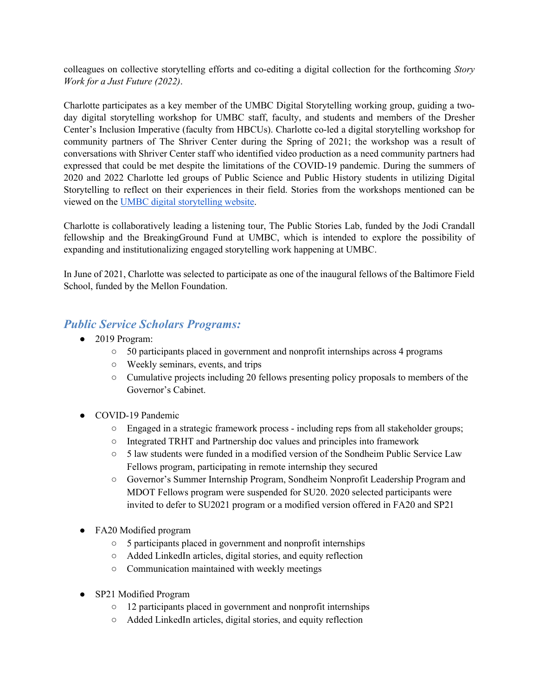colleagues on collective storytelling efforts and co-editing a digital collection for the forthcoming *Story Work for a Just Future (2022)*.

Charlotte participates as a key member of the UMBC Digital Storytelling working group, guiding a twoday digital storytelling workshop for UMBC staff, faculty, and students and members of the Dresher Center's Inclusion Imperative (faculty from HBCUs). Charlotte co-led a digital storytelling workshop for community partners of The Shriver Center during the Spring of 2021; the workshop was a result of conversations with Shriver Center staff who identified video production as a need community partners had expressed that could be met despite the limitations of the COVID-19 pandemic. During the summers of 2020 and 2022 Charlotte led groups of Public Science and Public History students in utilizing Digital Storytelling to reflect on their experiences in their field. Stories from the workshops mentioned can be viewed on the UMBC digital storytelling website.

Charlotte is collaboratively leading a listening tour, The Public Stories Lab, funded by the Jodi Crandall fellowship and the BreakingGround Fund at UMBC, which is intended to explore the possibility of expanding and institutionalizing engaged storytelling work happening at UMBC.

In June of 2021, Charlotte was selected to participate as one of the inaugural fellows of the Baltimore Field School, funded by the Mellon Foundation.

#### *Public Service Scholars Programs:*

- 2019 Program:
	- 50 participants placed in government and nonprofit internships across 4 programs
	- Weekly seminars, events, and trips
	- Cumulative projects including 20 fellows presenting policy proposals to members of the Governor's Cabinet.
- COVID-19 Pandemic
	- Engaged in a strategic framework process including reps from all stakeholder groups;
	- Integrated TRHT and Partnership doc values and principles into framework
	- 5 law students were funded in a modified version of the Sondheim Public Service Law Fellows program, participating in remote internship they secured
	- Governor's Summer Internship Program, Sondheim Nonprofit Leadership Program and MDOT Fellows program were suspended for SU20. 2020 selected participants were invited to defer to SU2021 program or a modified version offered in FA20 and SP21
- FA20 Modified program
	- 5 participants placed in government and nonprofit internships
	- Added LinkedIn articles, digital stories, and equity reflection
	- Communication maintained with weekly meetings
- SP21 Modified Program
	- 12 participants placed in government and nonprofit internships
	- Added LinkedIn articles, digital stories, and equity reflection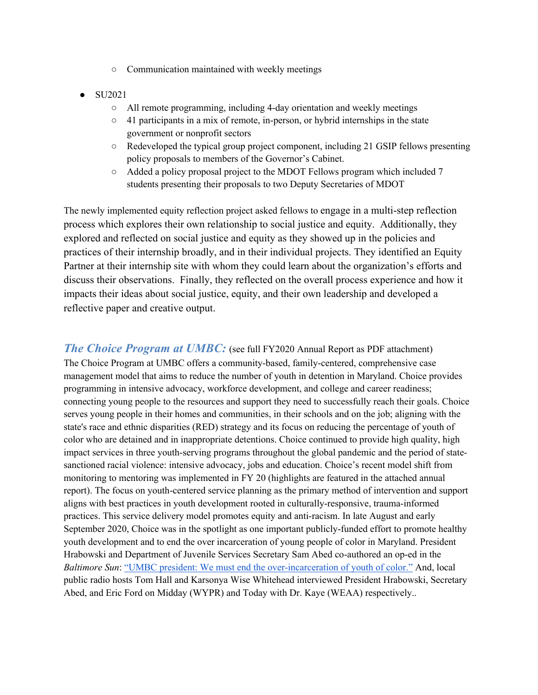- Communication maintained with weekly meetings
- SU2021
	- All remote programming, including 4-day orientation and weekly meetings
	- 41 participants in a mix of remote, in-person, or hybrid internships in the state government or nonprofit sectors
	- Redeveloped the typical group project component, including 21 GSIP fellows presenting policy proposals to members of the Governor's Cabinet.
	- Added a policy proposal project to the MDOT Fellows program which included 7 students presenting their proposals to two Deputy Secretaries of MDOT

The newly implemented equity reflection project asked fellows to engage in a multi-step reflection process which explores their own relationship to social justice and equity. Additionally, they explored and reflected on social justice and equity as they showed up in the policies and practices of their internship broadly, and in their individual projects. They identified an Equity Partner at their internship site with whom they could learn about the organization's efforts and discuss their observations. Finally, they reflected on the overall process experience and how it impacts their ideas about social justice, equity, and their own leadership and developed a reflective paper and creative output.

*The Choice Program at UMBC*: (see full FY2020 Annual Report as PDF attachment) The Choice Program at UMBC offers a community-based, family-centered, comprehensive case management model that aims to reduce the number of youth in detention in Maryland. Choice provides programming in intensive advocacy, workforce development, and college and career readiness; connecting young people to the resources and support they need to successfully reach their goals. Choice serves young people in their homes and communities, in their schools and on the job; aligning with the state's race and ethnic disparities (RED) strategy and its focus on reducing the percentage of youth of color who are detained and in inappropriate detentions. Choice continued to provide high quality, high impact services in three youth-serving programs throughout the global pandemic and the period of statesanctioned racial violence: intensive advocacy, jobs and education. Choice's recent model shift from monitoring to mentoring was implemented in FY 20 (highlights are featured in the attached annual report). The focus on youth-centered service planning as the primary method of intervention and support aligns with best practices in youth development rooted in culturally-responsive, trauma-informed practices. This service delivery model promotes equity and anti-racism. In late August and early September 2020, Choice was in the spotlight as one important publicly-funded effort to promote healthy youth development and to end the over incarceration of young people of color in Maryland. President Hrabowski and Department of Juvenile Services Secretary Sam Abed co-authored an op-ed in the *Baltimore Sun*: "UMBC president: We must end the over-incarceration of youth of color." And, local public radio hosts Tom Hall and Karsonya Wise Whitehead interviewed President Hrabowski, Secretary Abed, and Eric Ford on Midday (WYPR) and Today with Dr. Kaye (WEAA) respectively..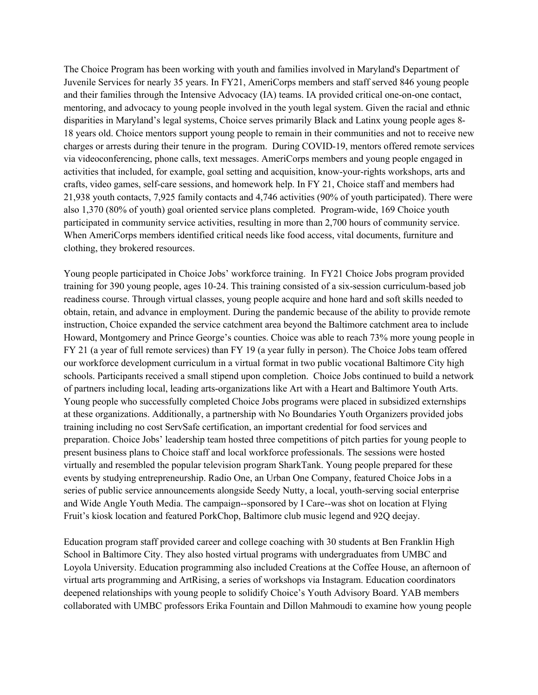The Choice Program has been working with youth and families involved in Maryland's Department of Juvenile Services for nearly 35 years. In FY21, AmeriCorps members and staff served 846 young people and their families through the Intensive Advocacy (IA) teams. IA provided critical one-on-one contact, mentoring, and advocacy to young people involved in the youth legal system. Given the racial and ethnic disparities in Maryland's legal systems, Choice serves primarily Black and Latinx young people ages 8- 18 years old. Choice mentors support young people to remain in their communities and not to receive new charges or arrests during their tenure in the program. During COVID-19, mentors offered remote services via videoconferencing, phone calls, text messages. AmeriCorps members and young people engaged in activities that included, for example, goal setting and acquisition, know-your-rights workshops, arts and crafts, video games, self-care sessions, and homework help. In FY 21, Choice staff and members had 21,938 youth contacts, 7,925 family contacts and 4,746 activities (90% of youth participated). There were also 1,370 (80% of youth) goal oriented service plans completed. Program-wide, 169 Choice youth participated in community service activities, resulting in more than 2,700 hours of community service. When AmeriCorps members identified critical needs like food access, vital documents, furniture and clothing, they brokered resources.

Young people participated in Choice Jobs' workforce training. In FY21 Choice Jobs program provided training for 390 young people, ages 10-24. This training consisted of a six-session curriculum-based job readiness course. Through virtual classes, young people acquire and hone hard and soft skills needed to obtain, retain, and advance in employment. During the pandemic because of the ability to provide remote instruction, Choice expanded the service catchment area beyond the Baltimore catchment area to include Howard, Montgomery and Prince George's counties. Choice was able to reach 73% more young people in FY 21 (a year of full remote services) than FY 19 (a year fully in person). The Choice Jobs team offered our workforce development curriculum in a virtual format in two public vocational Baltimore City high schools. Participants received a small stipend upon completion. Choice Jobs continued to build a network of partners including local, leading arts-organizations like Art with a Heart and Baltimore Youth Arts. Young people who successfully completed Choice Jobs programs were placed in subsidized externships at these organizations. Additionally, a partnership with No Boundaries Youth Organizers provided jobs training including no cost ServSafe certification, an important credential for food services and preparation. Choice Jobs' leadership team hosted three competitions of pitch parties for young people to present business plans to Choice staff and local workforce professionals. The sessions were hosted virtually and resembled the popular television program SharkTank. Young people prepared for these events by studying entrepreneurship. Radio One, an Urban One Company, featured Choice Jobs in a series of public service announcements alongside Seedy Nutty, a local, youth-serving social enterprise and Wide Angle Youth Media. The campaign--sponsored by I Care--was shot on location at Flying Fruit's kiosk location and featured PorkChop, Baltimore club music legend and 92Q deejay.

Education program staff provided career and college coaching with 30 students at Ben Franklin High School in Baltimore City. They also hosted virtual programs with undergraduates from UMBC and Loyola University. Education programming also included Creations at the Coffee House, an afternoon of virtual arts programming and ArtRising, a series of workshops via Instagram. Education coordinators deepened relationships with young people to solidify Choice's Youth Advisory Board. YAB members collaborated with UMBC professors Erika Fountain and Dillon Mahmoudi to examine how young people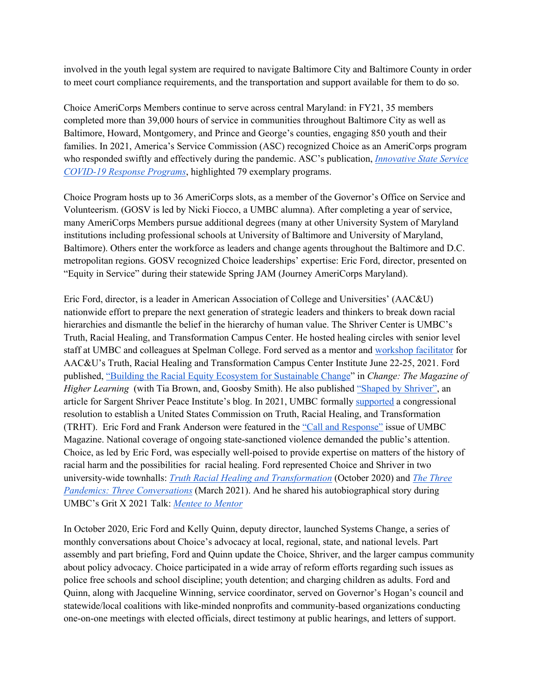involved in the youth legal system are required to navigate Baltimore City and Baltimore County in order to meet court compliance requirements, and the transportation and support available for them to do so.

Choice AmeriCorps Members continue to serve across central Maryland: in FY21, 35 members completed more than 39,000 hours of service in communities throughout Baltimore City as well as Baltimore, Howard, Montgomery, and Prince and George's counties, engaging 850 youth and their families. In 2021, America's Service Commission (ASC) recognized Choice as an AmeriCorps program who responded swiftly and effectively during the pandemic. ASC's publication, *Innovative State Service COVID-19 Response Programs*, highlighted 79 exemplary programs.

Choice Program hosts up to 36 AmeriCorps slots, as a member of the Governor's Office on Service and Volunteerism. (GOSV is led by Nicki Fiocco, a UMBC alumna). After completing a year of service, many AmeriCorps Members pursue additional degrees (many at other University System of Maryland institutions including professional schools at University of Baltimore and University of Maryland, Baltimore). Others enter the workforce as leaders and change agents throughout the Baltimore and D.C. metropolitan regions. GOSV recognized Choice leaderships' expertise: Eric Ford, director, presented on "Equity in Service" during their statewide Spring JAM (Journey AmeriCorps Maryland).

Eric Ford, director, is a leader in American Association of College and Universities' (AAC&U) nationwide effort to prepare the next generation of strategic leaders and thinkers to break down racial hierarchies and dismantle the belief in the hierarchy of human value. The Shriver Center is UMBC's Truth, Racial Healing, and Transformation Campus Center. He hosted healing circles with senior level staff at UMBC and colleagues at Spelman College. Ford served as a mentor and workshop facilitator for AAC&U's Truth, Racial Healing and Transformation Campus Center Institute June 22-25, 2021. Ford published, "Building the Racial Equity Ecosystem for Sustainable Change" in *Change: The Magazine of Higher Learning* (with Tia Brown, and, Goosby Smith). He also published "Shaped by Shriver", an article for Sargent Shriver Peace Institute's blog. In 2021, UMBC formally supported a congressional resolution to establish a United States Commission on Truth, Racial Healing, and Transformation (TRHT). Eric Ford and Frank Anderson were featured in the "Call and Response" issue of UMBC Magazine. National coverage of ongoing state-sanctioned violence demanded the public's attention. Choice, as led by Eric Ford, was especially well-poised to provide expertise on matters of the history of racial harm and the possibilities for racial healing. Ford represented Choice and Shriver in two university-wide townhalls: *Truth Racial Healing and Transformation* (October 2020) and *The Three Pandemics: Three Conversations* (March 2021). And he shared his autobiographical story during UMBC's Grit X 2021 Talk: *Mentee to Mentor*

In October 2020, Eric Ford and Kelly Quinn, deputy director, launched Systems Change, a series of monthly conversations about Choice's advocacy at local, regional, state, and national levels. Part assembly and part briefing, Ford and Quinn update the Choice, Shriver, and the larger campus community about policy advocacy. Choice participated in a wide array of reform efforts regarding such issues as police free schools and school discipline; youth detention; and charging children as adults. Ford and Quinn, along with Jacqueline Winning, service coordinator, served on Governor's Hogan's council and statewide/local coalitions with like-minded nonprofits and community-based organizations conducting one-on-one meetings with elected officials, direct testimony at public hearings, and letters of support.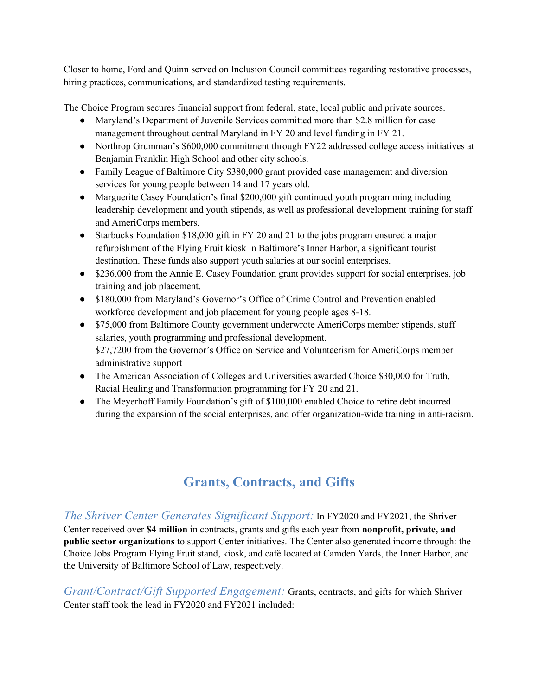Closer to home, Ford and Quinn served on Inclusion Council committees regarding restorative processes, hiring practices, communications, and standardized testing requirements.

The Choice Program secures financial support from federal, state, local public and private sources.

- Maryland's Department of Juvenile Services committed more than \$2.8 million for case management throughout central Maryland in FY 20 and level funding in FY 21.
- Northrop Grumman's \$600,000 commitment through FY22 addressed college access initiatives at Benjamin Franklin High School and other city schools.
- Family League of Baltimore City \$380,000 grant provided case management and diversion services for young people between 14 and 17 years old.
- Marguerite Casey Foundation's final \$200,000 gift continued youth programming including leadership development and youth stipends, as well as professional development training for staff and AmeriCorps members.
- Starbucks Foundation \$18,000 gift in FY 20 and 21 to the jobs program ensured a major refurbishment of the Flying Fruit kiosk in Baltimore's Inner Harbor, a significant tourist destination. These funds also support youth salaries at our social enterprises.
- \$236,000 from the Annie E. Casey Foundation grant provides support for social enterprises, job training and job placement.
- \$180,000 from Maryland's Governor's Office of Crime Control and Prevention enabled workforce development and job placement for young people ages 8-18.
- \$75,000 from Baltimore County government underwrote AmeriCorps member stipends, staff salaries, youth programming and professional development. \$27,7200 from the Governor's Office on Service and Volunteerism for AmeriCorps member administrative support
- The American Association of Colleges and Universities awarded Choice \$30,000 for Truth, Racial Healing and Transformation programming for FY 20 and 21.
- The Meyerhoff Family Foundation's gift of \$100,000 enabled Choice to retire debt incurred during the expansion of the social enterprises, and offer organization-wide training in anti-racism.

# **Grants, Contracts, and Gifts**

### *The Shriver Center Generates Significant Support:* In FY2020 and FY2021, the Shriver

Center received over **\$4 million** in contracts, grants and gifts each year from **nonprofit, private, and public sector organizations** to support Center initiatives. The Center also generated income through: the Choice Jobs Program Flying Fruit stand, kiosk, and café located at Camden Yards, the Inner Harbor, and the University of Baltimore School of Law, respectively.

*Grant/Contract/Gift Supported Engagement:* Grants, contracts, and gifts for which Shriver Center staff took the lead in FY2020 and FY2021 included: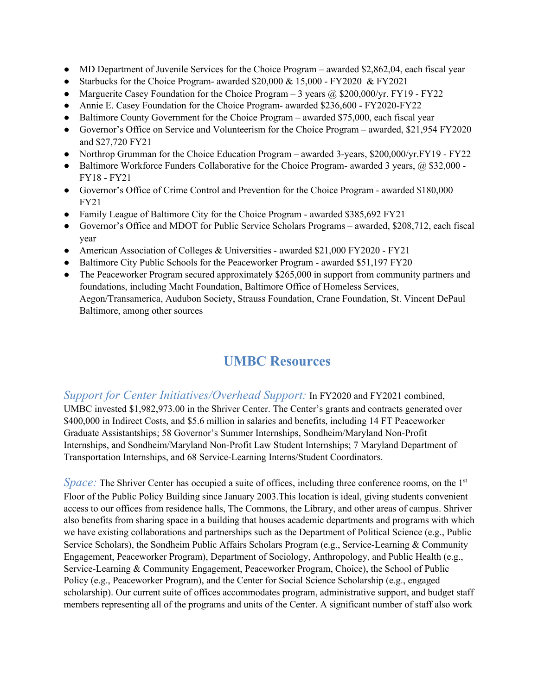- MD Department of Juvenile Services for the Choice Program awarded \$2,862,04, each fiscal year
- Starbucks for the Choice Program- awarded \$20,000 & 15,000 FY2020 & FY2021
- Marguerite Casey Foundation for the Choice Program  $-3$  years  $\omega$  \$200,000/yr. FY19 FY22
- Annie E. Casey Foundation for the Choice Program- awarded \$236,600 FY2020-FY22
- Baltimore County Government for the Choice Program awarded \$75,000, each fiscal year
- Governor's Office on Service and Volunteerism for the Choice Program awarded, \$21,954 FY2020 and \$27,720 FY21
- Northrop Grumman for the Choice Education Program awarded 3-years, \$200,000/yr.FY19 FY22
- Baltimore Workforce Funders Collaborative for the Choice Program- awarded 3 years,  $\omega$  \$32,000 -FY18 - FY21
- Governor's Office of Crime Control and Prevention for the Choice Program awarded \$180,000 FY21
- Family League of Baltimore City for the Choice Program awarded \$385,692 FY21
- Governor's Office and MDOT for Public Service Scholars Programs awarded, \$208,712, each fiscal year
- American Association of Colleges & Universities awarded \$21,000 FY2020 FY21
- Baltimore City Public Schools for the Peaceworker Program awarded \$51,197 FY20
- The Peaceworker Program secured approximately \$265,000 in support from community partners and foundations, including Macht Foundation, Baltimore Office of Homeless Services, Aegon/Transamerica, Audubon Society, Strauss Foundation, Crane Foundation, St. Vincent DePaul Baltimore, among other sources

### **UMBC Resources**

*Support for Center Initiatives/Overhead Support:* In FY2020 and FY2021 combined, UMBC invested \$1,982,973.00 in the Shriver Center. The Center's grants and contracts generated over \$400,000 in Indirect Costs, and \$5.6 million in salaries and benefits, including 14 FT Peaceworker Graduate Assistantships; 58 Governor's Summer Internships, Sondheim/Maryland Non-Profit Internships, and Sondheim/Maryland Non-Profit Law Student Internships; 7 Maryland Department of Transportation Internships, and 68 Service-Learning Interns/Student Coordinators.

*Space:* The Shriver Center has occupied a suite of offices, including three conference rooms, on the 1<sup>st</sup> Floor of the Public Policy Building since January 2003.This location is ideal, giving students convenient access to our offices from residence halls, The Commons, the Library, and other areas of campus. Shriver also benefits from sharing space in a building that houses academic departments and programs with which we have existing collaborations and partnerships such as the Department of Political Science (e.g., Public Service Scholars), the Sondheim Public Affairs Scholars Program (e.g., Service-Learning & Community Engagement, Peaceworker Program), Department of Sociology, Anthropology, and Public Health (e.g., Service-Learning & Community Engagement, Peaceworker Program, Choice), the School of Public Policy (e.g., Peaceworker Program), and the Center for Social Science Scholarship (e.g., engaged scholarship). Our current suite of offices accommodates program, administrative support, and budget staff members representing all of the programs and units of the Center. A significant number of staff also work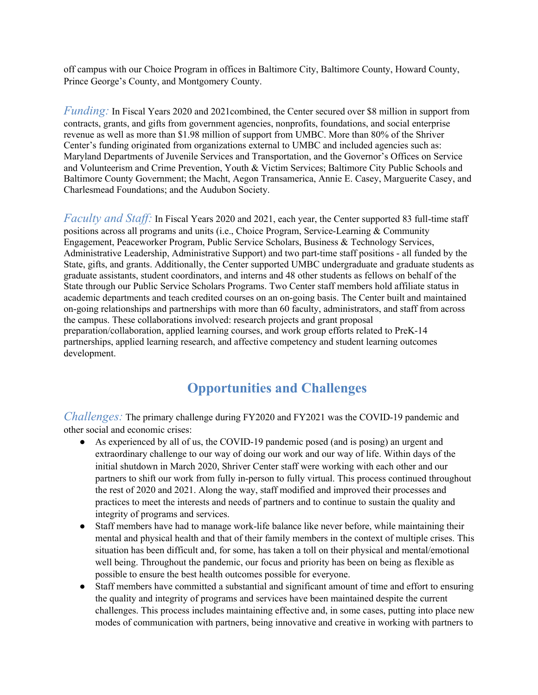off campus with our Choice Program in offices in Baltimore City, Baltimore County, Howard County, Prince George's County, and Montgomery County.

*Funding:* In Fiscal Years 2020 and 2021 combined, the Center secured over \$8 million in support from contracts, grants, and gifts from government agencies, nonprofits, foundations, and social enterprise revenue as well as more than \$1.98 million of support from UMBC. More than 80% of the Shriver Center's funding originated from organizations external to UMBC and included agencies such as: Maryland Departments of Juvenile Services and Transportation, and the Governor's Offices on Service and Volunteerism and Crime Prevention, Youth & Victim Services; Baltimore City Public Schools and Baltimore County Government; the Macht, Aegon Transamerica, Annie E. Casey, Marguerite Casey, and Charlesmead Foundations; and the Audubon Society.

*Faculty and Staff:* In Fiscal Years 2020 and 2021, each year, the Center supported 83 full-time staff positions across all programs and units (i.e., Choice Program, Service-Learning & Community Engagement, Peaceworker Program, Public Service Scholars, Business & Technology Services, Administrative Leadership, Administrative Support) and two part-time staff positions - all funded by the State, gifts, and grants. Additionally, the Center supported UMBC undergraduate and graduate students as graduate assistants, student coordinators, and interns and 48 other students as fellows on behalf of the State through our Public Service Scholars Programs. Two Center staff members hold affiliate status in academic departments and teach credited courses on an on-going basis. The Center built and maintained on-going relationships and partnerships with more than 60 faculty, administrators, and staff from across the campus. These collaborations involved: research projects and grant proposal preparation/collaboration, applied learning courses, and work group efforts related to PreK-14 partnerships, applied learning research, and affective competency and student learning outcomes development.

### **Opportunities and Challenges**

*Challenges:* The primary challenge during FY2020 and FY2021 was the COVID-19 pandemic and other social and economic crises:

- As experienced by all of us, the COVID-19 pandemic posed (and is posing) an urgent and extraordinary challenge to our way of doing our work and our way of life. Within days of the initial shutdown in March 2020, Shriver Center staff were working with each other and our partners to shift our work from fully in-person to fully virtual. This process continued throughout the rest of 2020 and 2021. Along the way, staff modified and improved their processes and practices to meet the interests and needs of partners and to continue to sustain the quality and integrity of programs and services.
- Staff members have had to manage work-life balance like never before, while maintaining their mental and physical health and that of their family members in the context of multiple crises. This situation has been difficult and, for some, has taken a toll on their physical and mental/emotional well being. Throughout the pandemic, our focus and priority has been on being as flexible as possible to ensure the best health outcomes possible for everyone.
- Staff members have committed a substantial and significant amount of time and effort to ensuring the quality and integrity of programs and services have been maintained despite the current challenges. This process includes maintaining effective and, in some cases, putting into place new modes of communication with partners, being innovative and creative in working with partners to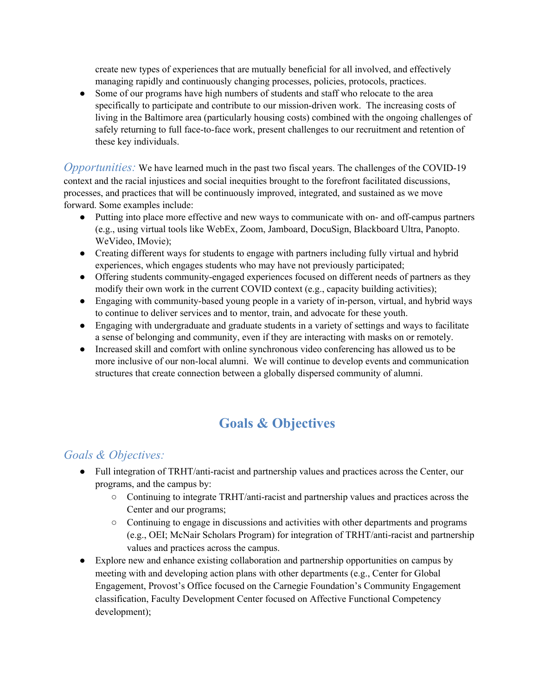create new types of experiences that are mutually beneficial for all involved, and effectively managing rapidly and continuously changing processes, policies, protocols, practices.

• Some of our programs have high numbers of students and staff who relocate to the area specifically to participate and contribute to our mission-driven work. The increasing costs of living in the Baltimore area (particularly housing costs) combined with the ongoing challenges of safely returning to full face-to-face work, present challenges to our recruitment and retention of these key individuals.

*Opportunities:* We have learned much in the past two fiscal years. The challenges of the COVID-19 context and the racial injustices and social inequities brought to the forefront facilitated discussions, processes, and practices that will be continuously improved, integrated, and sustained as we move forward. Some examples include:

- Putting into place more effective and new ways to communicate with on- and off-campus partners (e.g., using virtual tools like WebEx, Zoom, Jamboard, DocuSign, Blackboard Ultra, Panopto. WeVideo, IMovie);
- Creating different ways for students to engage with partners including fully virtual and hybrid experiences, which engages students who may have not previously participated;
- Offering students community-engaged experiences focused on different needs of partners as they modify their own work in the current COVID context (e.g., capacity building activities);
- Engaging with community-based young people in a variety of in-person, virtual, and hybrid ways to continue to deliver services and to mentor, train, and advocate for these youth.
- Engaging with undergraduate and graduate students in a variety of settings and ways to facilitate a sense of belonging and community, even if they are interacting with masks on or remotely.
- Increased skill and comfort with online synchronous video conferencing has allowed us to be more inclusive of our non-local alumni. We will continue to develop events and communication structures that create connection between a globally dispersed community of alumni.

# **Goals & Objectives**

### *Goals & Objectives:*

- Full integration of TRHT/anti-racist and partnership values and practices across the Center, our programs, and the campus by:
	- Continuing to integrate TRHT/anti-racist and partnership values and practices across the Center and our programs;
	- Continuing to engage in discussions and activities with other departments and programs (e.g., OEI; McNair Scholars Program) for integration of TRHT/anti-racist and partnership values and practices across the campus.
- Explore new and enhance existing collaboration and partnership opportunities on campus by meeting with and developing action plans with other departments (e.g., Center for Global Engagement, Provost's Office focused on the Carnegie Foundation's Community Engagement classification, Faculty Development Center focused on Affective Functional Competency development);